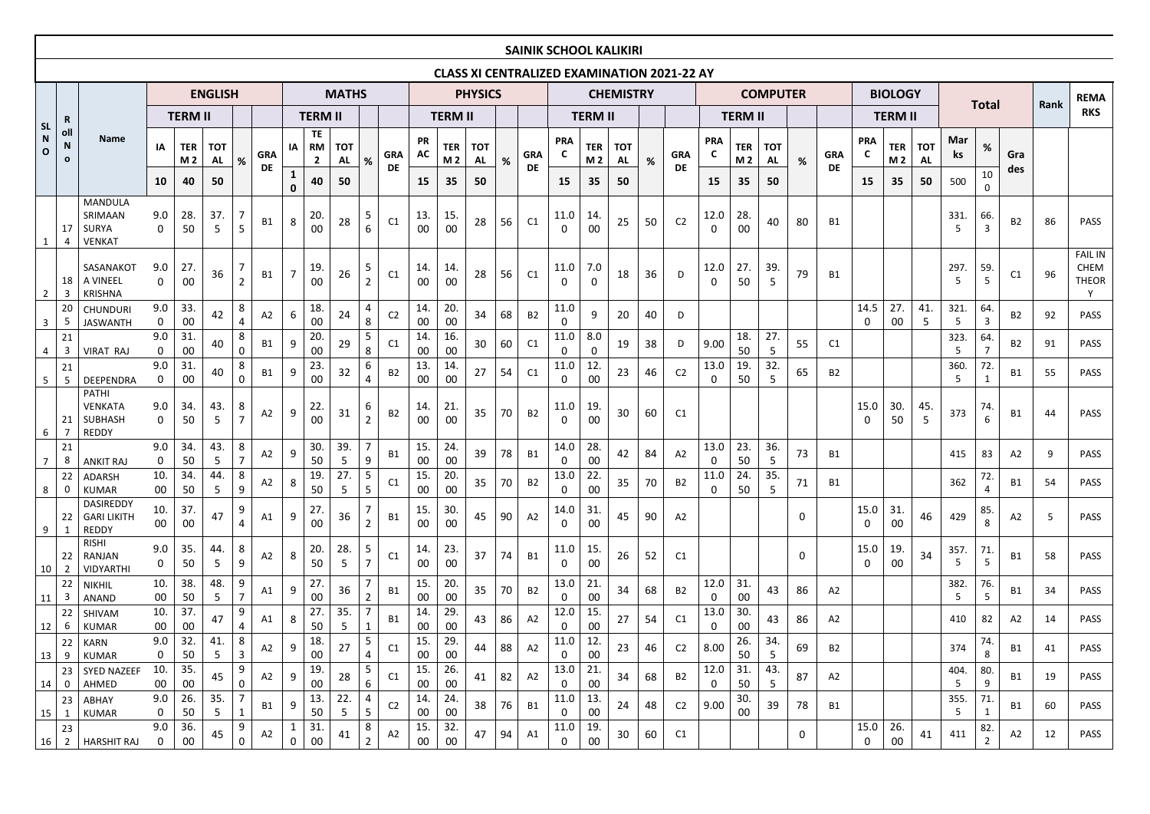|                                  |                                    |                                                                  |                         |                                    |                               |                     |                         |                                      |                                         |                               |                     |                         |                              |                          |                        |    |                         |                              |                         |                               |      | <b>CLASS XI CENTRALIZED EXAMINATION 2021-22 AY</b> |                              |                                    |                               |                  |                         |                              |                                    |                               |                  |                       |                |      |                                             |
|----------------------------------|------------------------------------|------------------------------------------------------------------|-------------------------|------------------------------------|-------------------------------|---------------------|-------------------------|--------------------------------------|-----------------------------------------|-------------------------------|---------------------|-------------------------|------------------------------|--------------------------|------------------------|----|-------------------------|------------------------------|-------------------------|-------------------------------|------|----------------------------------------------------|------------------------------|------------------------------------|-------------------------------|------------------|-------------------------|------------------------------|------------------------------------|-------------------------------|------------------|-----------------------|----------------|------|---------------------------------------------|
|                                  |                                    |                                                                  |                         |                                    | <b>ENGLISH</b>                |                     |                         |                                      |                                         | <b>MATHS</b>                  |                     |                         |                              |                          | <b>PHYSICS</b>         |    |                         |                              |                         | <b>CHEMISTRY</b>              |      |                                                    |                              |                                    | <b>COMPUTER</b>               |                  |                         |                              | <b>BIOLOGY</b>                     |                               |                  | <b>Total</b>          |                | Rank | <b>REMA</b>                                 |
|                                  | $\mathbf R$                        |                                                                  |                         | <b>TERM II</b>                     |                               |                     |                         |                                      | <b>TERM II</b>                          |                               |                     |                         |                              | <b>TERM II</b>           |                        |    |                         |                              | <b>TERM II</b>          |                               |      |                                                    |                              | <b>TERM II</b>                     |                               |                  |                         |                              | <b>TERM II</b>                     |                               |                  |                       |                |      | <b>RKS</b>                                  |
| <b>SL</b><br>N<br>$\overline{O}$ | oll<br>$\mathsf N$<br>$\mathbf{o}$ | <b>Name</b>                                                      | IA<br>10                | <b>TER</b><br>M <sub>2</sub><br>40 | <b>TOT</b><br><b>AL</b><br>50 | %                   | <b>GRA</b><br><b>DE</b> | IA I<br>$\mathbf{1}$<br>$\mathbf{0}$ | TE<br><b>RM</b><br>$\overline{2}$<br>40 | <b>TOT</b><br><b>AL</b><br>50 | %                   | <b>GRA</b><br><b>DE</b> | <b>PR</b><br><b>AC</b><br>15 | TER  <br><b>M2</b><br>35 | <b>TOT</b><br>AL<br>50 | %  | <b>GRA</b><br><b>DE</b> | <b>PRA</b><br><b>C</b><br>15 | <b>TER</b><br>M 2<br>35 | <b>TOT</b><br><b>AL</b><br>50 | $\%$ | <b>GRA</b><br><b>DE</b>                            | <b>PRA</b><br><b>C</b><br>15 | <b>TER</b><br>M <sub>2</sub><br>35 | <b>TOT</b><br><b>AL</b><br>50 | %                | <b>GRA</b><br><b>DE</b> | <b>PRA</b><br><b>C</b><br>15 | <b>TER</b><br>M <sub>2</sub><br>35 | <b>TOT</b><br><b>AL</b><br>50 | Mar<br>ks<br>500 | $\%$<br>10<br>0       | Gra<br>des     |      |                                             |
| $\mathbf{1}$                     | 17<br>4                            | <b>MANDULA</b><br>SRIMAAN<br><b>SURYA</b><br><b>VENKAT</b>       | 9.0<br>$\mathbf{0}$     | 28.<br>50                          | 37.<br>5                      | 5 <sup>1</sup>      | <b>B1</b>               | 8                                    | 20<br>00                                | 28                            | 5<br>6              | C1                      | 13.<br>00                    | 15<br>00                 | 28                     | 56 | C1                      | 11.0<br>$\Omega$             | 14.<br>00               | 25                            | 50   | C <sub>2</sub>                                     | 12.0<br>$\mathbf{0}$         | 28.<br>00                          | 40                            | 80               | <b>B1</b>               |                              |                                    |                               | 331.<br>5        | 66.<br>$\overline{3}$ | <b>B2</b>      | 86   | <b>PASS</b>                                 |
| $\overline{2}$                   | 18<br>-3                           | SASANAKOT<br>A VINEEL<br><b>KRISHNA</b>                          | 9.0<br>$\mathbf 0$      | 27.<br>$00\,$                      | 36                            | $2^{\circ}$         | <b>B1</b>               | $\overline{7}$                       | 19<br>00                                | 26                            | 5<br>$\overline{2}$ | C1                      | 14.<br>00                    | 14.<br>$00\,$            | 28                     | 56 | C1                      | 11.0<br>$\Omega$             | 7.0<br>$\Omega$         | 18                            | 36   | D                                                  | 12.0<br>$\mathbf{0}$         | 27.<br>50                          | 39.<br>5                      | 79               | <b>B1</b>               |                              |                                    |                               | 297.<br>5        | 59.<br>5              | C1             | 96   | <b>FAIL IN</b><br>CHEM<br><b>THEOR</b><br>Y |
| $\mathbf{3}$                     | -5                                 | <b>CHUNDURI</b><br><b>JASWANTH</b>                               | 9.0<br>0                | 33.<br>$00\,$                      | 42                            | 8                   | A2                      | 6                                    | 18.<br>00                               | 24                            | 4<br>8              | C <sub>2</sub>          | 14.<br>$00\,$                | 20.<br>$00\,$            | 34                     | 68 | <b>B2</b>               | 11.0<br>0                    | 9                       | 20                            | 40   | D                                                  |                              |                                    |                               |                  |                         | 14.5<br>$\mathbf 0$          | 27<br>00                           | 41<br>5                       | 321.<br>5        | 64.<br>$\mathbf{3}$   | <b>B2</b>      | 92   | PASS                                        |
| 4                                | 21<br>3                            | <b>VIRAT RAJ</b>                                                 | 9.0<br>$\mathbf 0$      | 31.<br>$00\,$                      | 40                            | 8<br>$\mathbf{0}$   | <b>B1</b>               | 9                                    | 20.<br>00                               | 29                            | 5<br>8              | C <sub>1</sub>          | 14.<br>$00\,$                | 16.<br>$00\,$            | 30                     | 60 | C1                      | 11.0<br>$\Omega$             | 8.0<br>0                | 19                            | 38   | D                                                  | 9.00                         | 18.<br>50                          | 27.<br>$5\phantom{.}$         | 55               | C1                      |                              |                                    |                               | 323.<br>5        | 64.<br>7              | <b>B2</b>      | 91   | <b>PASS</b>                                 |
| 5 <sub>5</sub>                   | 21<br>-5                           | DEEPENDRA                                                        | 9.0<br>$\mathbf{0}$     | 31.<br>$00\,$                      | 40                            | 8<br>$\Omega$       | <b>B1</b>               | 9                                    | 23.<br>00                               | 32                            | 6<br>4              | <b>B2</b>               | 13<br>00                     | 14.<br>$00\,$            | 27                     | 54 | C1                      | 11.0<br>0                    | 12.<br>00               | 23                            | 46   | C <sub>2</sub>                                     | 13.0<br>$\mathbf 0$          | 19.<br>50                          | 32.<br>5                      | 65               | <b>B2</b>               |                              |                                    |                               | 360.<br>5        | 72.                   | <b>B1</b>      | 55   | PASS                                        |
| 6                                | 21                                 | <b>PATHI</b><br><b>VENKATA</b><br><b>SUBHASH</b><br><b>REDDY</b> | 9.0<br>$\mathbf 0$      | 34.<br>50                          | 43.<br>5                      | 8<br>$\overline{7}$ | A2                      | 9                                    | 22.<br>00                               | 31                            | 6<br>$\overline{2}$ | <b>B2</b>               | 14<br>00                     | 21.<br>00                | 35                     | 70 | <b>B2</b>               | 11.0<br>$\Omega$             | 19<br>00                | 30                            | 60   | C1                                                 |                              |                                    |                               |                  |                         | 15.0<br>$\mathbf 0$          | 30.<br>50                          | 45.<br>5                      | 373              | 74.<br>6              | <b>B1</b>      | 44   | <b>PASS</b>                                 |
| 7                                | 21<br>8                            | <b>ANKIT RAJ</b>                                                 | 9.0<br>$\mathbf 0$      | 34.<br>50                          | 43.<br>5                      | 8<br>7              | A2                      | 9                                    | 30.<br>50                               | 39.<br>5                      | 9                   | <b>B1</b>               | 15.<br>00                    | 24.<br>$00\,$            | 39                     | 78 | <b>B1</b>               | 14.0<br>0                    | 28.<br>00               | 42                            | 84   | A2                                                 | 13.0<br>$\mathbf 0$          | 23.<br>50                          | 36.<br>5                      | 73               | B1                      |                              |                                    |                               | 415              | 83                    | A2             | 9    | <b>PASS</b>                                 |
| 8                                | 22<br>0                            | ADARSH<br><b>KUMAR</b>                                           | 10.<br>$00\,$           | 34.<br>50                          | 44.<br>5                      | 8<br>9              | A2                      | 8                                    | 19.<br>50                               | 27.<br>5                      | $5\phantom{.}$<br>5 | C1                      | 15.<br>00                    | 20<br>00                 | 35                     | 70 | <b>B2</b>               | 13.0<br>0                    | 22.<br>00               | 35                            | 70   | <b>B2</b>                                          | 11.0<br>$\mathbf 0$          | 24.<br>50                          | 35.<br>5                      | 71               | <b>B1</b>               |                              |                                    |                               | 362              | 72.<br>4              | <b>B1</b>      | 54   | <b>PASS</b>                                 |
| 9                                | 22                                 | DASIREDDY<br><b>GARI LIKITH</b><br><b>REDDY</b>                  | 10.<br>00               | 37.<br>$00\,$                      | 47                            | 9<br>4              | A1                      | 9                                    | 27.<br>00                               | 36                            | $\overline{2}$      | <b>B1</b>               | <b>15.</b><br>00             | 30.<br>$00\,$            | 45                     | 90 | A2                      | 14.0<br>0                    | 31.<br>00               | 45                            | 90   | A2                                                 |                              |                                    |                               | $\mathbf 0$      |                         | 15.0<br>0                    | 31<br>00                           | 46                            | 429              | 85.<br>8              | A <sub>2</sub> | 5    | <b>PASS</b>                                 |
| 10                               | 22                                 | <b>RISHI</b><br>RANJAN<br>VIDYARTHI                              | 9.0<br>$\boldsymbol{0}$ | 35.<br>50                          | 44.<br>5                      | 8<br>9              | A2                      | 8                                    | 20.<br>50                               | 28.<br>5                      | 5<br>$\overline{7}$ | C1                      | 14.<br>$00\,$                | 23.<br>$00\,$            | 37                     | 74 | <b>B1</b>               | 11.0<br>0                    | 15.<br>00               | 26                            | 52   | C1                                                 |                              |                                    |                               | $\boldsymbol{0}$ |                         | 15.0<br>0                    | 19.<br>$00\,$                      | 34                            | 357.<br>5        | 71.<br>5              | B1             | 58   | PASS                                        |
| 11                               | 22<br>3                            | <b>NIKHIL</b><br><b>ANAND</b>                                    | 10.<br>00               | 38.<br>50                          | 48.<br>5                      | 9                   | A1                      | 9                                    | 27.<br>00                               | 36                            | $\overline{2}$      | <b>B1</b>               | 15.<br>00                    | 20.<br>$00\,$            | 35                     | 70 | <b>B2</b>               | 13.0<br><b>O</b>             | 21.<br>00               | 34                            | 68   | <b>B2</b>                                          | 12.0<br>$\overline{0}$       | 31.<br>00                          | 43                            | 86               | A2                      |                              |                                    |                               | 382.<br>5        | 76.<br>5              | B1             | 34   | <b>PASS</b>                                 |
| 12                               | 22<br>6                            | SHIVAM<br><b>KUMAR</b>                                           | 10.<br>00               | 37.<br>00                          | 47                            | 9                   | A1                      | 8                                    | 27.<br>50                               | 35.<br>5                      | 1                   | <b>B1</b>               | 14.<br>00                    | 29.<br>$00\,$            | 43                     | 86 | A2                      | 12.0<br><b>O</b>             | 15.<br>00               | 27                            | 54   | C1                                                 | 13.0<br>$\overline{0}$       | 30.<br>00                          | 43                            | 86               | A2                      |                              |                                    |                               | 410              | 82                    | A2             | 14   | <b>PASS</b>                                 |
| 13                               | 22<br>9                            | KARN<br><b>KUMAR</b>                                             | 9.0<br>0                | 32.<br>50                          | 41.<br>5                      | 8<br>3              | A2                      | 9                                    | 18.<br>00                               | 27                            | 5<br>4              | C1                      | 15.<br>00                    | 29.<br>00                | 44                     | 88 | A2                      | 11.0<br>$\bf{0}$             | 12.<br>00               | 23                            | 46   | C <sub>2</sub>                                     | 8.00                         | 26.<br>50                          | 34.<br>5                      | 69               | B2                      |                              |                                    |                               | 374              | 74.<br>8              | B1.            | 41   | <b>PASS</b>                                 |
| 14                               | 23<br>$\mathbf 0$                  | <b>SYED NAZEEF</b><br>AHMED                                      | 10.<br>00               | 35.<br>00                          | 45                            | 9<br>0              | A2                      | 9                                    | 19.<br>00                               | 28                            | 5<br>6              | C1                      | 15.<br>00                    | 26.<br>$00\,$            | 41                     | 82 | A2                      | 13.0<br>0                    | 21.<br>00               | 34                            | 68   | <b>B2</b>                                          | 12.0<br>$\mathbf{0}$         | 31.<br>50                          | 43.<br>5                      | 87               | A2                      |                              |                                    |                               | 404.<br>5        | 80.<br>9              | B1             | 19   | <b>PASS</b>                                 |
| 15                               | 23<br>$\mathbf{1}$                 | ABHAY<br><b>KUMAR</b>                                            | 9.0<br>0                | 26.<br>50                          | 35.<br>5                      | $\mathbf{1}$        | B1                      |                                      | 13.<br>50                               | 22.<br>5                      | 4<br>5              | C <sub>2</sub>          | 14.<br>00                    | 24.<br>00                | 38                     | 76 | B1                      | 11.0<br>$\bf{0}$             | 13.<br>00               | 24                            | 48   | C <sub>2</sub>                                     | 9.00                         | 30.<br>$00\,$                      | 39                            | 78               | B1                      |                              |                                    |                               | 355.<br>5        | 71.                   | B1             | 60   | <b>PASS</b>                                 |
| 16                               | 23<br>$\overline{2}$               | <b>HARSHIT RAJ</b>                                               | 9.0<br>0                | 36.<br>00                          | 45                            | 9<br>$\mathbf{0}$   | A2                      | $\mathbf{1}$<br>$\mathbf 0$          | 31.<br>00                               | 41                            | 8<br>$\overline{2}$ | A2                      | 15.<br>$00\,$                | 32.<br>00                | 47                     | 94 | A1                      | 11.0<br>0                    | 19.<br>00               | 30                            | 60   | C1                                                 |                              |                                    |                               | $\mathbf 0$      |                         | 15.0<br>$\mathbf 0$          | 26.<br>00                          | 41                            | 411              | 82.<br>$\overline{2}$ | A2             | 12   | PASS                                        |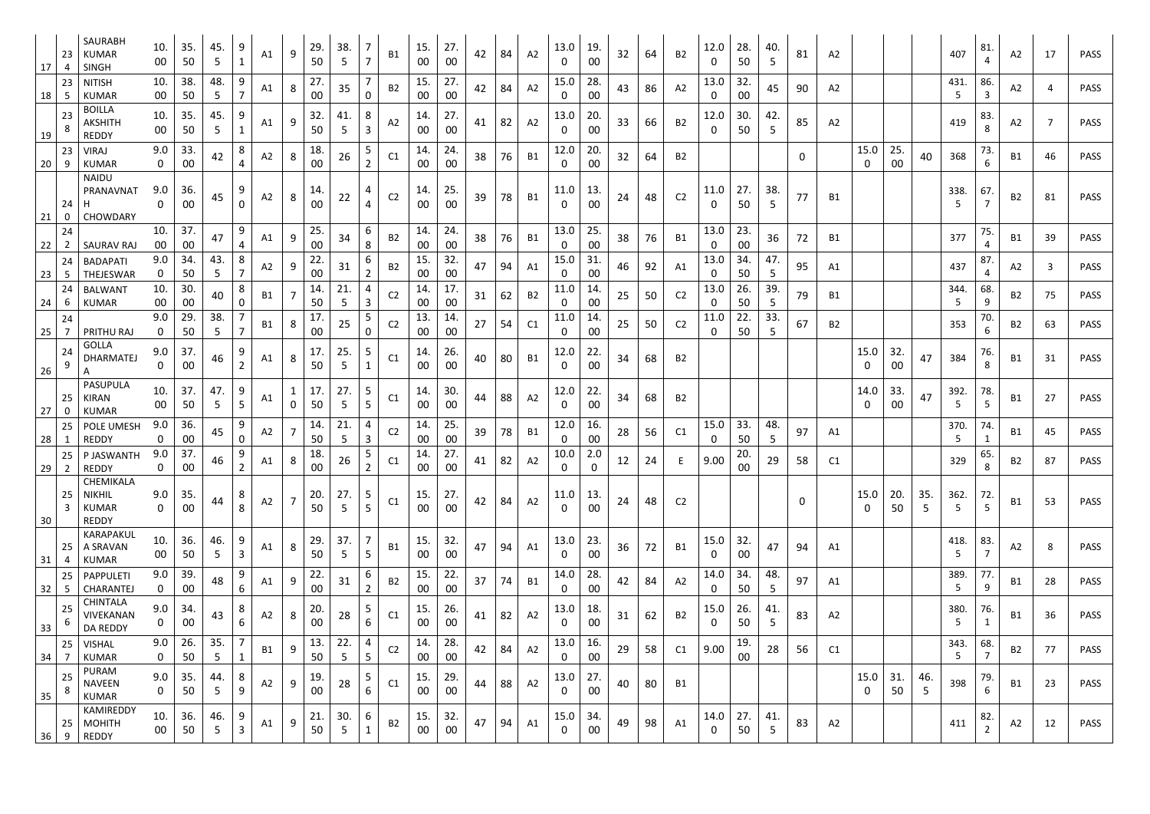| 17 | 23<br>4              | SAURABH<br><b>KUMAR</b><br><b>SINGH</b>                    | 10.<br>$00\,$       | 35.<br>50     | 45.<br>5 | 9<br>$\mathbf{1}$            | A1        | 9                            | 29.<br>50     | 38.<br>-5             | 7<br>$\overline{7}$ | B1             | 15.<br>$00\,$ | 27.<br>00                 | 42 | 84 | A2             | 13.0<br>O           | 19.<br>00          | 32 | 64 | <b>B2</b>      | 12.0<br>0            | 28.<br>50     | 40.<br>5              | 81               | A2             |           |              |                       | 407       | 81.<br>4              | A2        | 17  | <b>PASS</b> |
|----|----------------------|------------------------------------------------------------|---------------------|---------------|----------|------------------------------|-----------|------------------------------|---------------|-----------------------|---------------------|----------------|---------------|---------------------------|----|----|----------------|---------------------|--------------------|----|----|----------------|----------------------|---------------|-----------------------|------------------|----------------|-----------|--------------|-----------------------|-----------|-----------------------|-----------|-----|-------------|
| 18 | 23<br>-5             | <b>NITISH</b><br><b>KUMAR</b>                              | 10.<br>00           | 38.<br>50     | 48.<br>5 | 9<br>7                       | A1        | 8                            | 27.<br>00     | 35                    | 7<br>0              | <b>B2</b>      | 15.<br>00     | 27.<br>00                 | 42 | 84 | A <sub>2</sub> | 15.0<br>0           | 28.<br>00          | 43 | 86 | A2             | 13.0<br>$\mathbf{0}$ | 32.<br>00     | 45                    | 90               | A2             |           |              |                       | 431.<br>5 | 86.<br>3              | A2        | 4   | <b>PASS</b> |
| 19 | 23                   | <b>BOILLA</b><br><b>AKSHITH</b><br>REDDY                   | 10.<br>00           | 35.<br>50     | 45.<br>5 | 9                            | A1        | 9                            | 32.<br>50     | 41.<br>5              | 8<br>3              | A2             | 14.<br>00     | 27.<br>00                 | 41 | 82 | A <sub>2</sub> | 13.0<br>0           | 20.<br>00          | 33 | 66 | <b>B2</b>      | 12.0<br>$\mathbf{0}$ | 30.<br>50     | 42.<br>5              | 85               | A2             |           |              |                       | 419       | 83.<br>8              | A2        | - 7 | <b>PASS</b> |
| 20 | 23<br>9              | <b>VIRAJ</b><br><b>KUMAR</b>                               | 9.0<br>0            | 33.<br>00     | 42       | 8<br>4                       | A2        | 8                            | 18.<br>00     | 26                    | 5<br>2              | C1             | 14.<br>$00\,$ | 24.<br>00                 | 38 | 76 | <b>B1</b>      | 12.0<br>0           | 20.<br>00          | 32 | 64 | <b>B2</b>      |                      |               |                       | $\mathbf 0$      |                | 15.0<br>0 | 25<br>$00\,$ | 40                    | 368       | 73.<br>6              | B1        | 46  | <b>PASS</b> |
| 21 | 24<br>0              | <b>NAIDU</b><br><b>PRANAVNA1</b><br>Н<br>CHOWDARY          | 9.0<br>0            | 36.<br>00     | 45       | 9<br>0                       | A2        | 8                            | 14.<br>00     | 22                    | $\overline{4}$      | C <sub>2</sub> | 14.<br>00     | 25 <sub>1</sub><br>$00\,$ | 39 | 78 | <b>B1</b>      | 11.0<br>0           | 13.<br>00          | 24 | 48 | C <sub>2</sub> | 11.0<br>0            | 27.<br>50     | 38.<br>5              | 77               | <b>B1</b>      |           |              |                       | 338.<br>5 | 67.                   | <b>B2</b> | 81  | PASS        |
| 22 | 24<br>$\overline{2}$ | <b>SAURAV RAJ</b>                                          | 10.<br>$00\,$       | 37.<br>$00\,$ | 47       | 9<br>4                       | A1        | 9                            | 25.<br>00     | 34                    | 6<br>8              | <b>B2</b>      | 14.<br>$00\,$ | 24.<br>$00\,$             | 38 | 76 | <b>B1</b>      | 13.0<br>O           | 25.<br>00          | 38 | 76 | <b>B1</b>      | 13.0<br>$\mathbf 0$  | 23.<br>00     | 36                    | 72               | <b>B1</b>      |           |              |                       | 377       | 75.<br>4              | B1        | 39  | <b>PASS</b> |
| 23 | 24<br>-5             | <b>BADAPATI</b><br>THEJESWAR                               | 9.0<br>$\mathbf 0$  | 34.<br>50     | 43.<br>5 | 8<br>7                       | A2        | 9                            | 22.<br>00     | 31                    | 6<br>$\overline{2}$ | <b>B2</b>      | 15.<br>00     | 32.<br>$00\,$             | 47 | 94 | A1             | 15.0<br>0           | 31<br>00           | 46 | 92 | A1             | 13.0<br>$\mathbf{0}$ | 34.<br>50     | 47.<br>5              | 95               | A1             |           |              |                       | 437       | 87.<br>4              | A2        | 3   | <b>PASS</b> |
| 24 | 24<br>-6             | <b>BALWANT</b><br><b>KUMAR</b>                             | 10.<br>00           | 30.<br>$00\,$ | 40       | 8<br>0                       | B1        | $\overline{7}$               | 14.<br>50     | 21.<br>-5             | 4<br>$\mathbf{3}$   | C <sub>2</sub> | 14.<br>00     | 17.<br>$00\,$             | 31 | 62 | <b>B2</b>      | 11.0<br>0           | 14.<br>00          | 25 | 50 | C <sub>2</sub> | 13.0<br>$\mathbf 0$  | 26.<br>50     | 39.<br>5              | 79               | <b>B1</b>      |           |              |                       | 344.<br>5 | 68.<br>9              | B2        | 75  | <b>PASS</b> |
| 25 | 24<br>7              | PRITHU RAJ                                                 | 9.0<br>0            | 29.<br>50     | 38.<br>5 | 7<br>7                       | <b>B1</b> | 8                            | 17.<br>00     | 25                    | 5<br>0              | C <sub>2</sub> | 13.<br>00     | 14.<br>$00\,$             | 27 | 54 | C1             | 11.0<br>0           | 14.<br>00          | 25 | 50 | C <sub>2</sub> | 11.0<br>0            | 22.<br>50     | 33.<br>5              | 67               | <b>B2</b>      |           |              |                       | 353       | 70.<br>6              | <b>B2</b> | 63  | PASS        |
| 26 | 24<br>9              | <b>GOLLA</b><br>DHARMATEJ                                  | 9.0<br>$\mathbf{0}$ | 37.<br>$00\,$ | 46       | 9<br>$\overline{2}$          | A1        | 8                            | 17.<br>50     | 25.<br>-5             | 5<br>$\mathbf{1}$   | C1             | 14.<br>00     | 26.<br>00                 | 40 | 80 | <b>B1</b>      | 12.0<br>$\Omega$    | 22.<br>00          | 34 | 68 | B <sub>2</sub> |                      |               |                       |                  |                | 15.0<br>0 | 32.<br>00    | 47                    | 384       | 76.<br>8              | <b>B1</b> | 31  | <b>PASS</b> |
| 27 | 25                   | PASUPULA<br><b>KIRAN</b><br><b>KUMAR</b>                   | 10.<br>00           | 37.<br>50     | 47.<br>5 | 9<br>5                       | A1        | $\mathbf{1}$<br>$\mathsf{O}$ | 17.<br>50     | 27.<br>-5             | 5<br>5              | C1             | 14.<br>$00\,$ | 30.<br>00                 | 44 | 88 | A2             | 12.0<br>0           | 22.<br>00          | 34 | 68 | <b>B2</b>      |                      |               |                       |                  |                | 14.0<br>0 | 33.<br>00    | 47                    | 392.<br>5 | 78.<br>5              | B1        | 27  | <b>PASS</b> |
| 28 | 25<br>1              | POLE UMESH<br><b>REDDY</b>                                 | 9.0<br>0            | 36.<br>00     | 45       | 9<br>$\mathbf{0}$            | A2        | $\overline{7}$               | 14.<br>50     | 21.<br>5              | 4<br>3              | C <sub>2</sub> | 14.<br>$00\,$ | 25.<br>$00\,$             | 39 | 78 | <b>B1</b>      | 12.0<br>$\bf{0}$    | 16.<br>00          | 28 | 56 | C1             | 15.0<br>$\mathbf 0$  | 33.<br>50     | 48.<br>5              | 97               | A1             |           |              |                       | 370.<br>5 | 74.<br>1              | B1        | 45  | <b>PASS</b> |
|    |                      | 25   P JASWANTH<br>$29$ 2 REDDY                            | 9.0<br>$\mathbf 0$  | 37.<br>$00\,$ | 46       | 9<br>$2^{\circ}$             | A1        | 8                            | 18.<br>$00\,$ | 26                    | 5<br>$\overline{2}$ | C1             | 14.<br>00     | 27.<br>$00\,$             | 41 | 82 | A2             | 10.0<br>$\mathbf 0$ | 2.0<br>$\mathbf 0$ | 12 | 24 |                | 9.00                 | 20.<br>$00\,$ | 29                    | 58               | C <sub>1</sub> |           |              |                       | 329       | 65.<br>$\circ$        | <b>B2</b> | 87  | PASS        |
| 30 | 25<br>$\overline{3}$ | CHEMIKALA<br><b>NIKHIL</b><br><b>KUMAR</b><br><b>REDDY</b> | 9.0<br>$\mathbf 0$  | 35.<br>00     | 44       | 8<br>8                       | A2        | $\overline{7}$               | 20.<br>50     | 27.<br>5              | 5<br>5 <sup>5</sup> | C1             | 15.<br>00     | 27.<br>00                 | 42 | 84 | A <sub>2</sub> | 11.0                | 13.<br>00          | 24 | 48 | C <sub>2</sub> |                      |               |                       | $\boldsymbol{0}$ |                | 15.0<br>0 | 20.<br>50    | 35.<br>5              | 362.<br>5 | 72.<br>5              | B1        | 53  | <b>PASS</b> |
| 31 | 25<br>4              | KARAPAKUL<br>A SRAVAN<br>KUMAR                             | 10.<br>$00\,$       | 36.<br>50     | 46.<br>5 | 9<br>$\overline{\mathbf{3}}$ | A1        | 8                            | 29.<br>50     | 37.<br>5              | 7<br>5 <sub>1</sub> | <b>B1</b>      | 15.<br>00     | 32.<br>00                 | 47 | 94 | A1             | 13.0<br>0           | 23.<br>00          | 36 | 72 | <b>B1</b>      | 15.0<br>$\mathbf{0}$ | 32.<br>00     | 47                    | 94               | A1             |           |              |                       | 418.<br>5 | 83.<br>$\overline{7}$ | A2        | 8   | <b>PASS</b> |
| 32 | 25<br>5              | PAPPULETI<br>CHARANTEJ                                     | 9.0<br>$\mathbf 0$  | 39.<br>00     | 48       | 9<br>6                       | A1        | 9                            | 22.<br>00     | 31                    | 6<br>2              | <b>B2</b>      | 15.<br>00     | 22.<br>00                 | 37 | 74 | <b>B1</b>      | 14.0<br>$\bf{0}$    | 28.<br>$00\,$      | 42 | 84 | A2             | 14.0<br>$\mathbf{0}$ | 34.<br>50     | 48.<br>5 <sub>5</sub> | 97               | A1             |           |              |                       | 389.<br>5 | 77.<br>9              | <b>B1</b> | 28  | <b>PASS</b> |
| 33 | 25<br>6              | <b>CHINTALA</b><br>VIVEKANAN<br>DA REDDY                   | 9.0<br>$\mathbf 0$  | 34.<br>00     | 43       | 8<br>6                       | A2        | 8                            | 20.<br>00     | 28                    | 5<br>6              | C1             | 15.<br>00     | 26.<br>00                 | 41 | 82 | A2             | 13.0<br>0           | 18.<br>00          | 31 | 62 | <b>B2</b>      | 15.0<br>$\mathbf 0$  | 26.<br>50     | 41.<br>5 <sup>5</sup> | 83               | A <sub>2</sub> |           |              |                       | 380.<br>5 | 76.<br>$\mathbf{1}$   | <b>B1</b> | 36  | <b>PASS</b> |
| 34 | 25                   | <b>VISHAL</b><br><b>KUMAR</b>                              | 9.0<br>0            | 26.<br>50     | 35.<br>5 |                              | <b>B1</b> | 9                            | 13.<br>50     | 22.<br>5              | 4<br>5 <sub>1</sub> | C <sub>2</sub> | 14.<br>00     | 28.<br>00                 | 42 | 84 | A2             | 13.0<br>0           | 16.<br>00          | 29 | 58 | C1             | 9.00                 | 19.<br>00     | 28                    | 56               | C1             |           |              |                       | 343.<br>5 | 68.<br>7              | <b>B2</b> | 77  | <b>PASS</b> |
| 35 | 25<br>8              | <b>PURAM</b><br><b>NAVEEN</b><br><b>KUMAR</b>              | 9.0<br>0            | 35.<br>50     | 44.<br>5 | 8<br>9                       | A2        | 9                            | 19.<br>00     | 28                    | 5<br>6              | C1             | 15.<br>00     | 29.<br>$00\,$             | 44 | 88 | A <sub>2</sub> | 13.0<br>0           | 27.<br>00          | 40 | 80 | B1             |                      |               |                       |                  |                | 15.0<br>0 | 31.<br>50    | 46.<br>5 <sup>5</sup> | 398       | 79.<br>6              | <b>B1</b> | 23  | <b>PASS</b> |
| 36 | 25<br>9              | KAMIREDDY<br><b>MOHITH</b><br>REDDY                        | 10.<br>$00\,$       | 36.<br>50     | 46.<br>5 | 9<br>$\mathbf{3}$            | A1        | 9                            | 21.<br>50     | 30.<br>$\overline{5}$ | 6<br>$\mathbf{1}$   | <b>B2</b>      | 15.<br>$00\,$ | 32.<br>$00\,$             | 47 | 94 | A1             | 15.0<br>$\bf{0}$    | 34.<br>00          | 49 | 98 | A1             | 14.0<br>$\mathbf 0$  | 27.<br>50     | 41.<br>5              | 83               | A <sub>2</sub> |           |              |                       | 411       | 82.<br>$\overline{2}$ | A2        | 12  | <b>PASS</b> |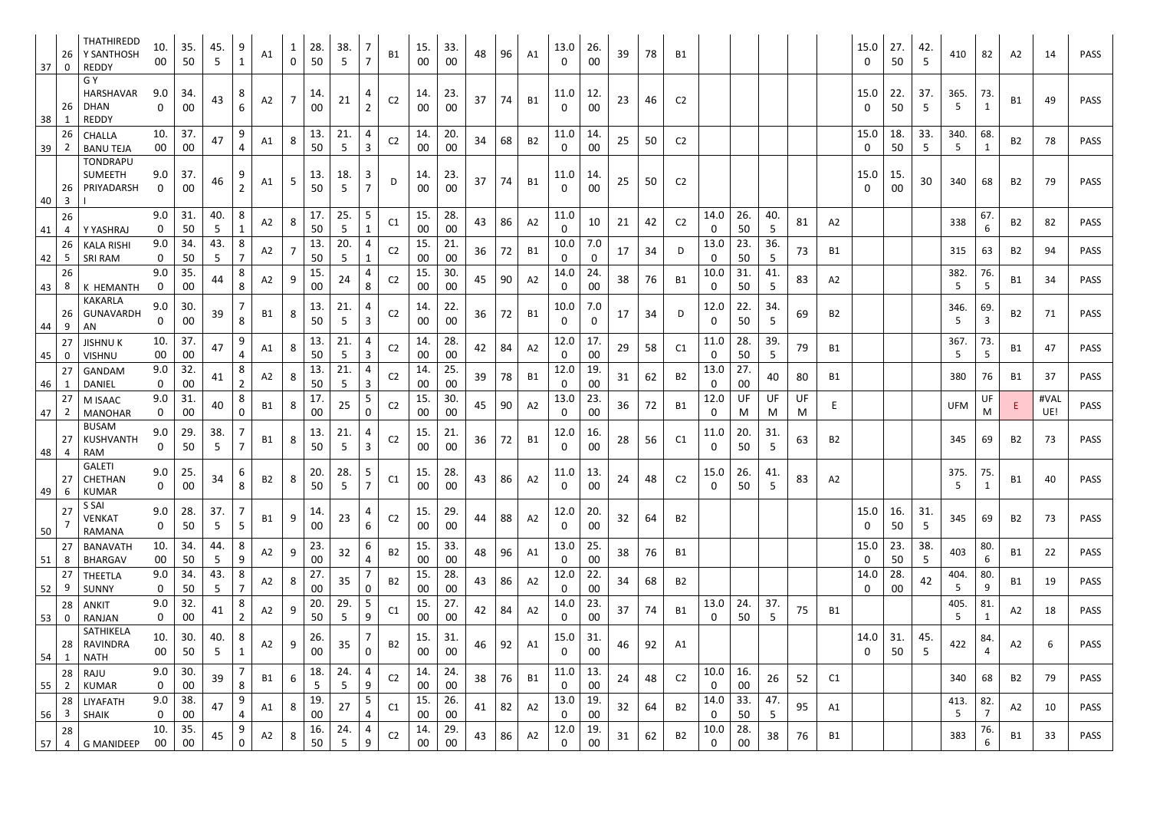| 26<br>$37 \mid$<br>$\mathbf 0$ | THATHIREDD<br>Y SANTHOSH<br><b>REDDY</b>        | 10 <sub>1</sub><br>00 | 35.<br>50     | 45.<br>5. | 9<br>$\mathbf{1}$   | A1        | $\mathbf 0$    | 28.<br>50 | 38.<br>-5              | 7<br>$\overline{7}$           | <b>B1</b>      | 15.<br>00     | 33.<br>$00\,$ | 48 | 96 | A1        | 13.0<br>$\Omega$  | 26.<br>00 | 39 | 78 | B1             |                      |               |                    |    |           | 15.0<br>-0   | 27.<br>50             | 42.<br>5  | 410                    | 82       | A2        | 14   | <b>PASS</b> |
|--------------------------------|-------------------------------------------------|-----------------------|---------------|-----------|---------------------|-----------|----------------|-----------|------------------------|-------------------------------|----------------|---------------|---------------|----|----|-----------|-------------------|-----------|----|----|----------------|----------------------|---------------|--------------------|----|-----------|--------------|-----------------------|-----------|------------------------|----------|-----------|------|-------------|
| 26<br>38                       | G Y<br>HARSHAVAR<br><b>DHAN</b><br><b>REDDY</b> | 9.0<br>$\mathbf 0$    | 34.<br>00     | 43        | 8<br>6              | A2        | $\overline{7}$ | 14.<br>00 | 21                     | 4<br>$\overline{2}$           | C <sub>2</sub> | 14.<br>00     | 23.<br>$00\,$ | 37 | 74 | <b>B1</b> | 11.0              | 12.<br>00 | 23 | 46 | C <sub>2</sub> |                      |               |                    |    |           | 15.0<br>- 0  | 22.<br>50             | 37.<br>5  | 365.<br>5              | 73.<br>1 | <b>B1</b> | 49   | <b>PASS</b> |
| 26<br>39<br>$\mathbf{Z}$       | <b>CHALLA</b><br><b>BANU TEJA</b>               | 10.<br>$00\,$         | 37.<br>00     | 47        | 9<br>$\overline{4}$ | A1        | 8              | 13.<br>50 | 21.<br>5               | 4<br>3                        | C <sub>2</sub> | 14.<br>00     | 20.<br>00     | 34 | 68 | <b>B2</b> | 11.0<br>0         | 14.<br>00 | 25 | 50 | C <sub>2</sub> |                      |               |                    |    |           | 15.0<br>0    | 18.<br>50             | 33.<br>5  | 340.<br>5 <sub>1</sub> | 68.      | <b>B2</b> | 78   | PASS        |
| 26<br>40<br>$\overline{3}$     | <b>TONDRAPU</b><br><b>SUMEETH</b><br>PRIYADARSH | 9.0<br>$\mathbf{0}$   | 37.<br>00     | 46        | 9<br>$\overline{2}$ | A1        | 5              | 13.<br>50 | 18.                    | 3<br>$\overline{7}$           | D              | 14.<br>00     | 23<br>$00\,$  | 37 | 74 | <b>B1</b> | 11.0<br>0         | 14.<br>00 | 25 | 50 | C <sub>2</sub> |                      |               |                    |    |           | 15.0<br>0    | 15 <sub>1</sub><br>00 | 30        | 340                    | 68       | <b>B2</b> | 79   | <b>PASS</b> |
| 26                             | Y YASHRAJ                                       | 9.0<br>$\mathbf{0}$   | 31.<br>50     | 40.       | 8                   | A2        | 8              | 17.<br>50 | 25.<br>5               | 5 <sub>1</sub><br>$\mathbf 1$ | C1             | 15.<br>00     | 28.<br>$00\,$ | 43 | 86 | A2        | 11.0<br>0         | 10        | 21 | 42 | C <sub>2</sub> | 14.0<br>$\mathbf 0$  | 26.<br>50     | 40.<br>5           | 81 | A2        |              |                       |           | 338                    | 67.<br>6 | <b>B2</b> | 82   | PASS        |
| 41<br>4<br>26                  | <b>KALA RISHI</b>                               | 9.0                   | 34.           | ל<br>43.  | 8                   | A2        |                | 13.       | 20.                    | 4                             | C <sub>2</sub> | 15.           | 21.           | 36 | 72 | <b>B1</b> | 10.0              | 7.0       | 17 | 34 | D.             | 13.0                 | 23.           | 36.                | 73 | <b>B1</b> |              |                       |           | 315                    | 63       | <b>B2</b> | 94   | <b>PASS</b> |
| -5<br>42<br>26                 | SRI RAM                                         | $\mathbf{0}$<br>9.0   | 50<br>35.     | 5         | $\overline{7}$<br>8 |           |                | 50<br>15. | 5                      | $\mathbf{1}$<br>4             |                | 00<br>15.     | $00\,$<br>30. |    |    |           | 0<br>14.0         | 0<br>24.  |    |    |                | $\mathbf{0}$<br>10.0 | 50<br>31.     | 5<br>41.           |    |           |              |                       |           | 382.                   | 76.      |           |      |             |
| 8<br>43                        | K HEMANTH                                       | $\mathbf 0$           | $00\,$        | 44        | 8                   | A2        | 9              | 00        | 24                     | 8                             | C <sub>2</sub> | 00            | $00\,$        | 45 | 90 | A2        | 0                 | 00        | 38 | 76 | <b>B1</b>      | $\mathbf 0$          | 50            | 5                  | 83 | A2        |              |                       |           | 5                      | 5        | B1        | 34   | PASS        |
| 26<br>44<br>9                  | <b>KAKARLA</b><br>GUNAVARDH<br>AN               | 9.0<br>$\mathbf 0$    | 30.<br>$00\,$ | 39        | 8                   | <b>B1</b> | 8              | 13.<br>50 | 21.<br>5               | 4<br>$\mathbf{3}$             | C <sub>2</sub> | 14.<br>$00\,$ | 22.<br>$00\,$ | 36 | 72 | B1        | 10.0<br>$\Omega$  | 7.0<br>0  | 17 | 34 | D              | 12.0<br>$\mathbf{0}$ | 22.<br>50     | 34.<br>5           | 69 | <b>B2</b> |              |                       |           | 346.<br>5              | 69.<br>3 | <b>B2</b> | 71   | <b>PASS</b> |
| 27<br>45  <br>0                | <b>JISHNUK</b><br><b>VISHNU</b>                 | 10.<br>00             | 37.<br>00     | 47        | 9<br>4              | A1        | 8              | 13.<br>50 | 21.                    | 4<br>3                        | C <sub>2</sub> | 14.<br>$00\,$ | 28.<br>$00\,$ | 42 | 84 | A2        | 12.0<br>0         | 17.<br>00 | 29 | 58 | C1             | 11.0<br>$\mathbf{0}$ | 28.<br>50     | 39.<br>$5^{\circ}$ | 79 | B1        |              |                       |           | 367.<br>5.             | 73.<br>5 | <b>B1</b> | 47   | PASS        |
| 27                             | GANDAM                                          | 9.0                   | 32.           | 41        | 8                   | A2        | 8              | 13.       | 21.                    | 4                             | C <sub>2</sub> | 14.           | 25.           | 39 | 78 | B1        | 12.0              | 19.       | 31 | 62 | <b>B2</b>      | 13.0                 | 27.           | 40                 | 80 | B1        |              |                       |           | 380                    | 76       | B1        | 37   | PASS        |
| 46<br>27                       | <b>DANIEL</b><br>M ISAAC                        | $\mathbf 0$<br>9.0    | $00\,$<br>31. |           | $\overline{2}$<br>8 |           |                | 50<br>17. | -5<br>25               | $\mathbf{3}$<br>5             | C <sub>2</sub> | 00<br>15.     | $00\,$<br>30. | 45 | 90 | A2        | 0<br>13.0         | 00<br>23. |    | 72 |                | $\mathbf{0}$<br>12.0 | $00\,$<br>UF  | UF                 | UF |           |              |                       |           | <b>UFM</b>             | UF       |           | #VAL | PASS        |
| 47<br>2                        | <b>MANOHAR</b><br><b>BUSAM</b>                  | $\mathbf 0$           | 00            | 40        | $\Omega$            | <b>B1</b> | 8              | 00        |                        | 0                             |                | 00            | 00            |    |    |           | 0                 | 00        | 36 |    | B1             | $\mathbf{0}$         | M             | M                  | M  | E.        |              |                       |           |                        | M        | Ε.        | UE!  |             |
| 27<br>48<br>4                  | KUSHVANTH<br>RAM                                | 9.0<br>$\mathbf{0}$   | -29.<br>50    | 38.<br>.5 | $\overline{7}$      | B1        | 8              | 13.<br>50 | 21.<br>5               | 4<br>$\mathbf{3}$             | C <sub>2</sub> | 15.<br>00     | 21.<br>$00\,$ | 36 | 72 | <b>B1</b> | 12.0<br>$\Omega$  | 16.<br>00 | 28 | 56 | C1             | 11.0<br>$\mathbf{0}$ | 20.<br>50     | 31.<br>$5^{\circ}$ | 63 | <b>B2</b> |              |                       |           | 345                    | 69       | <b>B2</b> | 73   | <b>PASS</b> |
| 27<br>49<br>6                  | <b>GALETI</b><br>CHETHAN<br><b>KUMAR</b>        | 9.0<br>0              | 25.<br>00     | 34        | $\mathbf b$<br>8    | <b>B2</b> | 8              | 20.<br>50 | 28.<br>$5\overline{)}$ | 5<br>$\overline{7}$           | C1             | 15.<br>00     | 28.<br>$00\,$ | 43 | 86 | A2        | 11.0<br>0         | 13.<br>00 | 24 | 48 | C <sub>2</sub> | 15.0<br>$\mathbf{0}$ | 26.<br>50     | 41.<br>5           | 83 | A2        |              |                       |           | 375.<br>5 <sup>5</sup> | 75.<br>1 | B1        | 40   | <b>PASS</b> |
| 27<br>50                       | S SAI<br><b>VENKAT</b><br>RAMANA                | 9.0<br>$\mathbf 0$    | 28.<br>50     | 37.<br>5  | 5                   | B1        | 9              | 14.<br>00 | 23                     | 4<br>6                        | C <sub>2</sub> | 15.<br>00     | 29.<br>$00\,$ | 44 | 88 | A2        | 12.0<br><b>O</b>  | 20.<br>00 | 32 | 64 | B2             |                      |               |                    |    |           | 15.0<br>0    | 16.<br>50             | 31.<br>-5 | 345                    | 69       | <b>B2</b> | 73   | <b>PASS</b> |
| 27<br>51<br>8                  | <b>BANAVATH</b><br><b>BHARGAV</b>               | 10.<br>00             | 34.<br>50     | 44.<br>5  | 8<br>9              | A2        | 9              | 23.<br>00 | 32                     | 6<br>4                        | <b>B2</b>      | 15.<br>00     | 33.<br>$00\,$ | 48 | 96 | A1        | 13.0<br>0         | 25.<br>00 | 38 | 76 | B1             |                      |               |                    |    |           | 15.0<br>0    | 23.<br>50             | 38.<br>5  | 403                    | 80.<br>6 | B1        | 22   | <b>PASS</b> |
| 27                             | <b>THEETLA</b>                                  | 9.0                   | 34.           | 43.       | 8                   | A2        | 8              | 27.       | 35                     |                               | <b>B2</b>      | 15.           | 28.           | 43 | 86 | A2        | 12.0              | 22.       | 34 | 68 | B <sub>2</sub> |                      |               |                    |    |           | 14.0         | 28.                   | 42        | 404.                   | 80.      | <b>B1</b> | 19   | <b>PASS</b> |
| 52<br>9<br>28                  | <b>SUNNY</b><br><b>ANKIT</b>                    | $\mathbf{0}$<br>9.0   | 50<br>32.     | 5<br>41   | $\overline{7}$<br>8 | A2        | 9              | 00<br>20. | 29.                    | 0<br>5 <sub>1</sub>           | C1             | 00<br>15.     | $00\,$<br>27. | 42 | 84 | A2        | 0<br>14.0         | 00<br>23. | 37 | 74 | B1             | 13.0                 | 24.           | 37.                | 75 | <b>B1</b> | $\mathbf{0}$ | 00                    |           | 5<br>405.              | 9<br>81. | A2        | 18   | <b>PASS</b> |
| $53$ 0                         | RANJAN<br>SATHIKELA                             | $\mathbf{0}$          | 00            |           | $\overline{2}$      |           |                | 50        | 5                      | 9                             |                | 00            | 00            |    |    |           | 0                 | 00        |    |    |                | $\mathbf{0}$         | 50            | 5                  |    |           |              |                       |           | 5.                     | 1        |           |      |             |
| 28<br>54                       | RAVINDRA<br><b>NATH</b>                         | 10.<br>$00\,$         | 30.<br>50     | 40.<br>5  | $\mathbf{1}$        | A2        | 9              | 26.<br>00 | 35                     | $\mathbf 0$                   | <b>B2</b>      | 15.<br>$00\,$ | 31.<br>00     | 46 | 92 | A1        | $15.0$   31.<br>0 | 00        | 46 | 92 | A1             |                      |               |                    |    |           | 14.0<br>0    | 31.<br>50             | 45.<br>5  | 422                    | 84.<br>4 | A2        | 6    | PASS        |
| 28<br>55<br>$\overline{2}$     | RAJU<br><b>KUMAR</b>                            | 9.0                   | 30.<br>$00\,$ | 39        | 8                   | <b>B1</b> | 6              | 18.<br>5  | 24.<br>5               | 4<br>9                        | C <sub>2</sub> | 14.<br>00     | 24.<br>$00\,$ | 38 | 76 | <b>B1</b> | 11.0<br>0         | 13.<br>00 | 24 | 48 | C <sub>2</sub> | 10.0<br>$\mathbf{0}$ | 16.<br>$00\,$ | 26                 | 52 | C1        |              |                       |           | 340                    | 68       | <b>B2</b> | 79   | <b>PASS</b> |
| 28                             |                                                 |                       |               |           |                     |           |                |           |                        |                               |                |               |               |    |    |           |                   |           |    |    |                |                      |               |                    |    |           |              |                       |           |                        |          |           |      |             |
| 56<br>3                        | LIYAFATH<br><b>SHAIK</b>                        | 9.0<br>0              | 38.<br>$00\,$ | 47        | 9<br>$\overline{4}$ | A1        | 8              | 19.<br>00 | 27                     | 5 <sub>1</sub><br>4           | C1             | 15.<br>00     | 26.<br>00     | 41 | 82 | A2        | 13.0<br>0         | 19.<br>00 | 32 | 64 | <b>B2</b>      | 14.0<br>$\mathbf{0}$ | 33.<br>50     | 47.<br>5           | 95 | A1        |              |                       |           | 413.<br>5              | 82.<br>7 | A2        | 10   | <b>PASS</b> |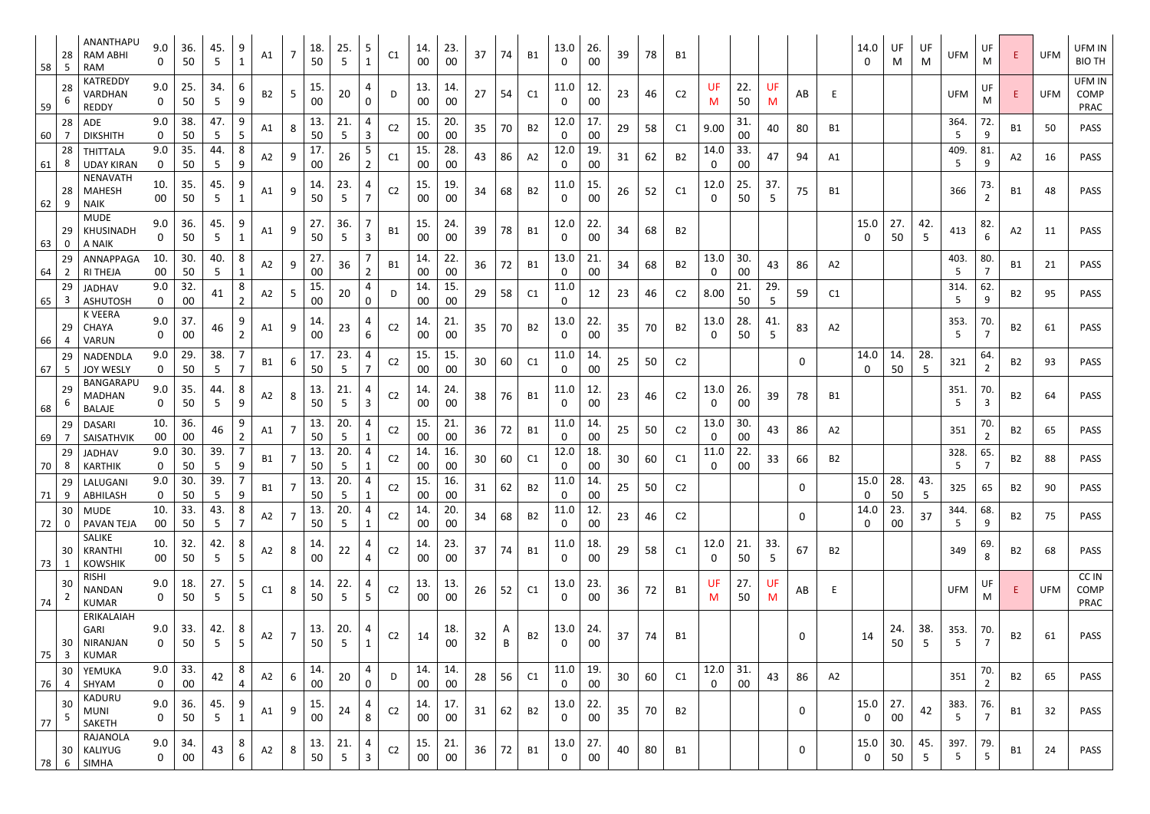| 58 | 28<br>-5 | ANANTHAPU<br><b>RAM ABHI</b><br><b>RAM</b>      | 9.0<br>$\mathbf{0}$ | 36.<br>50     | 45.<br>5  | 9<br>$\mathbf 1$               | A1        | $\overline{7}$ | 18.<br>50             | 25.<br>-5             | 5<br>$\mathbf{1}$   | C1             | 14.<br>00     | 23<br>00      | 37 | 74                | <b>B1</b>      | 13.0<br>$\Omega$       | 26.<br>00 | 39 | 78 | B1             |                     |           |          |             |                | 14.0<br>$\mathbf 0$      | UF<br>M   | UF<br>M   | <b>UFM</b>             | UF<br>M               |                | <b>UFM</b> | UFM IN<br><b>BIO TH</b> |
|----|----------|-------------------------------------------------|---------------------|---------------|-----------|--------------------------------|-----------|----------------|-----------------------|-----------------------|---------------------|----------------|---------------|---------------|----|-------------------|----------------|------------------------|-----------|----|----|----------------|---------------------|-----------|----------|-------------|----------------|--------------------------|-----------|-----------|------------------------|-----------------------|----------------|------------|-------------------------|
| 59 | 28       | <b>KATREDDY</b><br>VARDHAN<br><b>REDDY</b>      | 9.0<br>0            | 25.<br>50     | 34.<br>5. | 6<br>9                         | <b>B2</b> | 5              | 15.<br>00             | 20                    | 4<br>0              | D              | 13.<br>00     | 14.<br>$00\,$ | 27 | 54                | C1             | 11.0<br>$\Omega$       | 12.<br>00 | 23 | 46 | C <sub>2</sub> | <b>UF</b><br>M      | 22.<br>50 | UF<br>M  | AB          | Ε              |                          |           |           | <b>UFM</b>             | UF<br>M               | E.             | <b>UFM</b> | UFM IN<br>COMP<br>PRAC  |
| 60 | 28       | <b>ADE</b><br><b>DIKSHITH</b>                   | 9.0<br>0            | 38.<br>50     | 47.<br>5  | 9<br>5                         | A1        | 8              | 13.<br>50             | 21.                   | 4<br>3              | C <sub>2</sub> | 15.<br>00     | 20.<br>$00\,$ | 35 | 70                | <b>B2</b>      | 12.0<br>$\Omega$       | 17.<br>00 | 29 | 58 | C1             | 9.00                | 31.<br>00 | 40       | 80          | <b>B1</b>      |                          |           |           | 364.<br>5              | 72.<br>9              | <b>B1</b>      | 50         | <b>PASS</b>             |
| 61 | 28<br>8  | THITTALA<br><b>UDAY KIRAN</b>                   | 9.0<br>$\mathbf 0$  | 35.<br>50     | 44.<br>5  | 8<br>9                         | A2        | 9              | 17.<br>00             | 26                    | 5<br>$\overline{2}$ | C1             | 15.<br>$00\,$ | 28.<br>$00\,$ | 43 | 86                | A2             | 12.0<br>$\mathbf{0}$   | 19.<br>00 | 31 | 62 | <b>B2</b>      | 14.0<br>$\mathbf 0$ | 33.<br>00 | 47       | 94          | A1             |                          |           |           | 409.<br>5              | 81.<br>9              | A2             | 16         | <b>PASS</b>             |
| 62 | 28       | <b>NENAVATH</b><br><b>MAHESH</b><br><b>NAIK</b> | 10.<br>00           | 35.<br>50     | 45.<br>5  | 1                              | A1        | 9              | 14.<br>50             | 23.<br>5              | 4<br>$\overline{7}$ | C <sub>2</sub> | 15.<br>00     | 19.<br>00     | 34 | 68                | <b>B2</b>      | 11.0<br>$\Omega$       | 15.<br>00 | 26 | 52 | C1             | 12.0<br>0           | 25.<br>50 | 37.<br>5 | 75          | <b>B1</b>      |                          |           |           | 366                    | 73.<br>2              | B1             | 48         | <b>PASS</b>             |
| 63 | 29       | <b>MUDE</b><br><b>KHUSINADH</b><br>A NAIK       | 9.0<br>0            | 36.<br>50     | 45.<br>5  | 9                              | A1        | 9              | 27.<br>50             | 36.<br>-5             | $\mathbf{3}$        | <b>B1</b>      | 15.<br>00     | 24.<br>00     | 39 | 78                | <b>B1</b>      | 12.0<br>$\Omega$       | 22.<br>00 | 34 | 68 | <b>B2</b>      |                     |           |          |             |                | 15.0<br>$\Omega$         | 27.<br>50 | 42.<br>-5 | 413                    | 82.<br>6              | A <sub>2</sub> | 11         | PASS                    |
| 64 | 29<br>2  | ANNAPPAGA<br><b>RI THEJA</b>                    | 10.<br>$00\,$       | 30.<br>50     | 40.<br>5  | 8                              | A2        | 9              | 27.<br>00             | 36                    | $\overline{2}$      | <b>B1</b>      | 14.<br>00     | 22.<br>00     | 36 | 72                | <b>B1</b>      | 13.0<br>0              | 21.<br>00 | 34 | 68 | <b>B2</b>      | 13.0<br>$\mathbf 0$ | 30.<br>00 | 43       | 86          | A2             |                          |           |           | 403.<br>5              | 80.<br>$\overline{7}$ | <b>B1</b>      | 21         | <b>PASS</b>             |
| 65 | 29<br>3  | JADHAV<br><b>ASHUTOSH</b>                       | 9.0<br>$\mathbf 0$  | 32.<br>00     | 41        | 8<br>2                         | A2        | 5              | 15.<br>00             | 20                    | 4<br>0              | D              | 14.<br>00     | 15.<br>$00\,$ | 29 | 58                | C1             | 11.0<br>$\mathbf 0$    | 12        | 23 | 46 | C <sub>2</sub> | 8.00                | 21.<br>50 | 29.<br>5 | 59          | C1             |                          |           |           | 314.<br>5              | 62.<br>9              | B2             | 95         | <b>PASS</b>             |
| 66 | 29<br>4  | <b>K VEERA</b><br><b>CHAYA</b><br>VARUN         | 9.0<br>$\mathbf 0$  | 37.<br>00     | 46        | 9<br>$\overline{2}$            | A1        | 9              | 14.<br>00             | 23                    | 4<br>6              | C <sub>2</sub> | 14.<br>00     | 21.<br>$00\,$ | 35 | 70                | <b>B2</b>      | 13.0<br>0              | 22.<br>00 | 35 | 70 | <b>B2</b>      | 13.0<br>0           | 28.<br>50 | 41.<br>5 | 83          | A <sub>2</sub> |                          |           |           | 353.<br>5              | 70.<br>$\overline{7}$ | B2             | 61         | <b>PASS</b>             |
| 67 | 29<br>-5 | NADENDLA<br><b>JOY WESLY</b>                    | 9.0<br>$\mathbf 0$  | 29.<br>50     | 38.<br>5  |                                | B1        | 6              | 17 <sub>1</sub><br>50 | 23.<br>5              | 4                   | C <sub>2</sub> | 15.<br>00     | 15<br>$00\,$  | 30 | 60                | C1             | 11.0<br>0              | 14.<br>00 | 25 | 50 | C <sub>2</sub> |                     |           |          | 0           |                | 14.0<br>0                | 14.<br>50 | 28.<br>5  | 321                    | 64.<br>$\overline{2}$ | <b>B2</b>      | 93         | PASS                    |
| 68 | 29       | BANGARAPL<br><b>MADHAN</b><br><b>BALAJE</b>     | 9.0<br>0            | 35.<br>50     | 44.<br>5  | 8<br>9                         | A2        | 8              | 13.<br>50             | 21.<br>5              | 4<br>3              | C <sub>2</sub> | 14.<br>00     | 24.<br>$00\,$ | 38 | 76                | <b>B1</b>      | 11.0<br>$\Omega$       | 12.<br>00 | 23 | 46 | C <sub>2</sub> | 13.0<br>0           | 26.<br>00 | 39       | 78          | <b>B1</b>      |                          |           |           | 351.<br>5              | 70.<br>3              | <b>B2</b>      | 64         | PASS                    |
| 69 | 29       | <b>DASARI</b><br>SAISATHVIK                     | 10.<br>00           | 36.<br>00     | 46        | 9<br>2                         | A1        | 7              | 13.<br>50             | 20.<br>-5             | 4<br>1              | C <sub>2</sub> | 15.<br>$00\,$ | 21.<br>$00\,$ | 36 | 72                | <b>B1</b>      | 11.0<br>0              | 14.<br>00 | 25 | 50 | C <sub>2</sub> | 13.0<br>0           | 30.<br>00 | 43       | 86          | A2             |                          |           |           | 351                    | 70.<br>$\overline{2}$ | <b>B2</b>      | 65         | <b>PASS</b>             |
| 70 | 29<br>8  | <b>JADHAV</b><br><b>KARTHIK</b>                 | 9.0<br>$\mathbf{0}$ | 30.<br>50     | 39.<br>5  | $\overline{7}$<br>$\mathsf{Q}$ | <b>B1</b> | $\overline{7}$ | 13.<br>50             | 20.<br>$\overline{5}$ | 4<br>$\mathbf 1$    | C <sub>2</sub> | 14.<br>$00\,$ | 16.<br>$00\,$ | 30 | 60                | C1             | 12.0<br>$\mathbf 0$    | 18.<br>00 | 30 | 60 | C1             | 11.0<br>$\mathbf 0$ | 22.<br>00 | 33       | 66          | B <sub>2</sub> |                          |           |           | 328.<br>$\overline{5}$ | 65.<br>$\overline{ }$ | <b>B2</b>      | 88         | PASS                    |
| 71 | 29<br>9  | LALUGANI<br>ABHILASH                            | 9.0<br>$\mathbf{0}$ | 30.<br>50     | 39.<br>5  | $\overline{7}$<br>9            | <b>B1</b> | $\overline{7}$ | 13.<br>50             | 20.<br>-5             | 4<br>$\mathbf{1}$   | C <sub>2</sub> | 15.<br>$00\,$ | 16.<br>$00\,$ | 31 | 62                | <b>B2</b>      | 11.0<br>$\Omega$       | 14.<br>00 | 25 | 50 | C <sub>2</sub> |                     |           |          | $\mathbf 0$ |                | 15.0<br>$\Omega$         | 28.<br>50 | 43.<br>-5 | 325                    | 65                    | <b>B2</b>      | 90         | <b>PASS</b>             |
| 72 | 30       | <b>MUDE</b><br><b>PAVAN TEJA</b>                | 10.<br>00           | 33.<br>50     | 43.<br>5  | 8<br>7                         | A2        |                | 13.<br>50             | 20.                   | 4                   | C <sub>2</sub> | 14.<br>$00\,$ | 20.<br>$00\,$ | 34 | 68                | <b>B2</b>      | 11.0<br>0              | 12.<br>00 | 23 | 46 | C <sub>2</sub> |                     |           |          | $\mathbf 0$ |                | 14.0<br>0                | 23.<br>00 | 37        | 344.<br>5.             | 68.<br>9              | <b>B2</b>      | 75         | PASS                    |
| 73 | 30       | SALIKE<br>KRANTHI<br><b>KOWSHIK</b>             | 10.<br>$00\,$       | 32.<br>50     | 42.<br>5. | 8<br>5                         | A2        | 8              | 14.<br>00             | 22                    | 4<br>4              | C <sub>2</sub> | 14.<br>00     | 23.<br>$00\,$ | 37 | 74                | <b>B1</b>      | 11.0<br>0              | 18.<br>00 | 29 | 58 | C1             | 12.0<br>$\mathbf 0$ | 21.<br>50 | 33.<br>5 | 67          | <b>B2</b>      |                          |           |           | 349                    | 69.<br>8              | <b>B2</b>      | 68         | <b>PASS</b>             |
| 74 | 30       | <b>RISHI</b><br><b>NANDAN</b><br><b>KUMAR</b>   | 9.0<br>$\mathbf 0$  | 18.<br>50     | 27.<br>5  | 5<br>5                         | C1        | 8              | 14.<br>50             | 22.<br>5              | 4<br>5 <sub>1</sub> | C <sub>2</sub> | 13.<br>00     | 13.<br>00     | 26 | 52                | C1             | 13.0<br>0              | 23.<br>00 | 36 | 72 | <b>B1</b>      | UF<br>M             | 27.<br>50 | UF<br>M  | AB          | Ε              |                          |           |           | <b>UFM</b>             | UF<br>M               | E              | <b>UFM</b> | CC IN<br>COMP<br>PRAC   |
| 75 | 30<br>3  | ERIKALAIAH<br>GARI<br>NIRANJAN<br><b>KUMAR</b>  | 9.0<br>$\mathbf 0$  | 33.<br>50     | 42.<br>5  | 8<br>5                         | A2        | $\overline{7}$ | 13.<br>50             | 20.<br>5              | 4<br>$\mathbf{1}$   | C <sub>2</sub> | 14            | 18.<br>00     | 32 | $\mathsf{A}$<br>B | <b>B2</b>      | 13.0<br>0              | 24.<br>00 | 37 | 74 | B1             |                     |           |          | $\mathbf 0$ |                | 14                       | 24.<br>50 | 38.<br>5  | 353.<br>5              | 70.                   | <b>B2</b>      | 61         | <b>PASS</b>             |
| 76 | 30<br>4  | YEMUKA<br>SHYAM                                 | 9.0<br>$\mathbf 0$  | 33.<br>$00\,$ | 42        | 8<br>4                         | A2        | 6              | 14.<br>00             | 20                    | 4<br>0              | D              | 14.<br>$00\,$ | 14.<br>00     | 28 | 56                | C1             | 11.0<br>$\overline{0}$ | 19.<br>00 | 30 | 60 | C1             | 12.0<br>$\mathbf 0$ | 31.<br>00 | 43       | 86          | A2             |                          |           |           | 351                    | 70.<br>2              | <b>B2</b>      | 65         | <b>PASS</b>             |
| 77 | 30       | KADURU<br><b>MUNI</b><br>SAKETH                 | 9.0<br>0            | 36.<br>50     | 45.<br>5  | 9<br>$\mathbf{1}$              | A1        | 9              | 15.<br>00             | 24                    | 4<br>8              | C <sub>2</sub> | 14.<br>00     | 17.<br>$00\,$ | 31 | 62                | B <sub>2</sub> | 13.0<br>0              | 22.<br>00 | 35 | 70 | <b>B2</b>      |                     |           |          | $\mathbf 0$ |                | 15.0<br>0                | 27.<br>00 | 42        | 383.<br>5              | 76.<br>$\overline{7}$ | <b>B1</b>      | 32         | <b>PASS</b>             |
| 78 | 30<br>6  | RAJANOLA<br>KALIYUG<br><b>SIMHA</b>             | 9.0<br>$\mathbf 0$  | 34.<br>00     | 43        | 8<br>6                         | A2        | 8              | 13.<br>50             | 21.<br>5              | 4<br>$\mathbf{3}$   | C <sub>2</sub> | 15.<br>00     | 21.<br>$00\,$ | 36 | 72                | <b>B1</b>      | 13.0<br>$\bf{0}$       | 27.<br>00 | 40 | 80 | <b>B1</b>      |                     |           |          | 0           |                | 15.0<br>$\boldsymbol{0}$ | 30.<br>50 | 45.<br>5  | 397.<br>5              | 79.<br>5              | <b>B1</b>      | 24         | <b>PASS</b>             |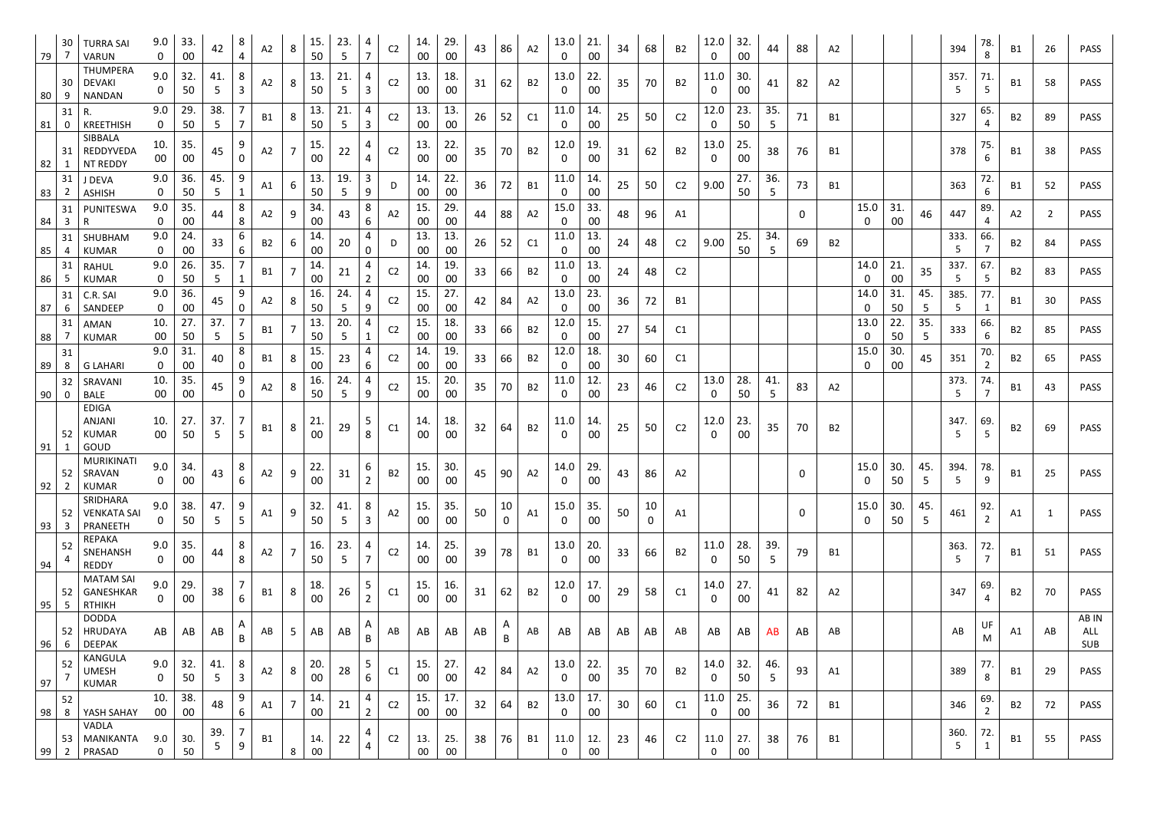| 79       | 30                       | <b>TURRA SAI</b><br><b>VARUN</b>                      | 9.0<br>$\mathbf 0$  | 33.<br>$00\,$ | 42         | 8<br>$\Delta$                     | A2        | 8              | 15.<br>50 | 23.<br>5  | 4<br>$\overline{7}$                | C <sub>2</sub> | 14.<br>00     | 29.<br>00     | 43 | 86                | A2             | 13.0<br>$\mathbf{0}$   | 21.<br>00 | 34 | 68                 | <b>B2</b>      | 12.0<br>0           | 32.<br>00 | 44                     | 88           | A2             |           |               |          | 394       | 78.<br>8 | <b>B1</b>      | 26             | <b>PASS</b>         |
|----------|--------------------------|-------------------------------------------------------|---------------------|---------------|------------|-----------------------------------|-----------|----------------|-----------|-----------|------------------------------------|----------------|---------------|---------------|----|-------------------|----------------|------------------------|-----------|----|--------------------|----------------|---------------------|-----------|------------------------|--------------|----------------|-----------|---------------|----------|-----------|----------|----------------|----------------|---------------------|
| 80       | 30<br>9                  | <b>THUMPERA</b><br><b>DEVAKI</b><br><b>NANDAN</b>     | 9.0<br>$\mathbf{0}$ | 32.<br>50     | 41.<br>-5. | 8<br>$\overline{3}$               | A2        | 8              | 13.<br>50 | 21.<br>5  | 4<br>$\mathbf{3}$                  | C <sub>2</sub> | 13.<br>00     | 18.<br>$00\,$ | 31 | 62                | <b>B2</b>      | 13.0<br>0              | 22.<br>00 | 35 | 70                 | <b>B2</b>      | 11.0<br>$\mathbf 0$ | 30.<br>00 | 41                     | 82           | A <sub>2</sub> |           |               |          | 357.<br>5 | 71.<br>5 | B1             | 58             | <b>PASS</b>         |
| 81       | 31<br>0                  | R.<br><b>KREETHISH</b>                                | 9.0<br>$\mathbf 0$  | 29.<br>50     | 38.<br>5   | $\overline{7}$                    | B1        | 8              | 13.<br>50 | 21.<br>5  | 4<br>$\mathbf{3}$                  | C <sub>2</sub> | 13.<br>00     | 13.<br>$00\,$ | 26 | 52                | C1             | 11.0<br>$\mathbf{0}$   | 14.<br>00 | 25 | 50                 | C <sub>2</sub> | 12.0<br>0           | 23.<br>50 | 35.<br>5               | 71           | <b>B1</b>      |           |               |          | 327       | 65.      | B <sub>2</sub> | 89             | <b>PASS</b>         |
|          | -31                      | SIBBALA<br>REDDYVEDA<br>NT REDDY                      | 10.<br>$00\,$       | 35.<br>00     | 45         | 9<br>$\mathbf{0}$                 | A2        | 7              | 15.<br>00 | 22        | 4<br>4                             | C <sub>2</sub> | 13.<br>00     | 22.<br>00     | 35 | 70                | <b>B2</b>      | 12.0<br>0              | 19.<br>00 | 31 | 62                 | <b>B2</b>      | 13.0<br>$\mathbf 0$ | 25.<br>00 | 38                     | 76           | <b>B1</b>      |           |               |          | 378       | 75.<br>6 | B1             | 38             | <b>PASS</b>         |
| 82<br>83 | -1<br>31<br>$\mathbf{Z}$ | J DEVA<br><b>ASHISH</b>                               | 9.0<br>$\mathbf{0}$ | 36.<br>50     | 45.<br>5   | 9                                 | A1        | 6              | 13.<br>50 | 19.<br>5  | 3<br>9                             | D              | 14.<br>00     | 22.<br>00     | 36 | 72                | <b>B1</b>      | 11.0<br>0              | 14.<br>00 | 25 | 50                 | C <sub>2</sub> | 9.00                | 27.<br>50 | 36.<br>5               | 73           | <b>B1</b>      |           |               |          | 363       | 72.<br>6 | <b>B1</b>      | 52             | <b>PASS</b>         |
| 84       | 31<br>$\overline{3}$     | PUNITESWA<br>R                                        | 9.0<br>0            | 35.<br>00     | 44         | 8<br>8                            | A2        | 9              | 34.<br>00 | 43        | 8<br>6                             | A2             | 15.<br>00     | 29.<br>00     | 44 | 88                | A2             | 15.0<br>0              | 33.<br>00 | 48 | 96                 | A1             |                     |           |                        | $\mathbf{0}$ |                | 15.0<br>0 | 31.<br>00     | 46       | 447       | 89.      | A2             | $\overline{2}$ | <b>PASS</b>         |
| 85       | 31<br>4                  | SHUBHAM<br><b>KUMAR</b>                               | 9.0<br>$\mathbf 0$  | 24.<br>00     | 33         | 6<br>6                            | <b>B2</b> | 6              | 14.<br>00 | 20        | 4<br>$\mathbf 0$                   | D              | 13.<br>00     | 13<br>00      | 26 | 52                | C1             | 11.0<br>0              | 13.<br>00 | 24 | 48                 | C <sub>2</sub> | 9.00                | 25.<br>50 | 34.<br>5               | 69           | <b>B2</b>      |           |               |          | 333.<br>5 | 66.      | <b>B2</b>      | 84             | <b>PASS</b>         |
| 86       | 31<br>-5                 | <b>RAHUL</b><br><b>KUMAR</b>                          | 9.0<br>$\mathbf{0}$ | 26.<br>50     | 35.<br>5   |                                   | B1        |                | 14.<br>00 | 21        | 4                                  | C <sub>2</sub> | 14.<br>00     | 19.<br>00     | 33 | 66                | <b>B2</b>      | 11.0<br>0              | 13.<br>00 | 24 | 48                 | C <sub>2</sub> |                     |           |                        |              |                | 14.0<br>0 | 21.<br>00     | 35       | 337.<br>5 | 67.<br>5 | <b>B2</b>      | 83             | <b>PASS</b>         |
| 87       | -31<br>6                 | C.R. SAI<br>SANDEEP                                   | 9.0<br>$\mathbf 0$  | 36.<br>00     | 45         | 9<br>0                            | A2        | 8              | 16.<br>50 | 24.<br>5  | 4<br>9                             | C <sub>2</sub> | 15.<br>00     | 27<br>$00\,$  |    | 84                | A2             | 13.0<br>0              | 23.<br>00 | 36 | 72                 | B1             |                     |           |                        |              |                | 14.0<br>0 | 31.<br>50     | 45.<br>5 | 385.<br>5 | 77.      | B1             | 30             | <b>PASS</b>         |
| 88       | -31                      | AMAN<br><b>KUMAR</b>                                  | 10.<br>$00\,$       | 27.<br>50     | 37.<br>5.  | $\overline{7}$<br>5               | B1        |                | 13.<br>50 | 20.<br>5  | 4<br>$\mathbf{1}$                  | C <sub>2</sub> | 15.<br>00     | 18.<br>$00\,$ | 33 | 66                | <b>B2</b>      | 12.0<br>0              | 15.<br>00 | 27 | 54                 | C <sub>1</sub> |                     |           |                        |              |                | 13.0<br>0 | 22.<br>50     | 35.<br>5 | 333       | 66.<br>6 | <b>B2</b>      | 85             | <b>PASS</b>         |
| 89       | -31<br>-8                | <b>G LAHARI</b>                                       | 9.0<br>$\mathbf 0$  | 31.<br>00     | 40         | 8<br>$\Omega$                     | <b>B1</b> | 8              | 15.<br>00 | 23        | 4<br>6                             | C <sub>2</sub> | 14.<br>00     | 19<br>$00\,$  | 33 | 66                | <b>B2</b>      | 12.0<br>0              | 18.<br>00 | 30 | 60                 | C1             |                     |           |                        |              |                | 15.0<br>0 | 30.<br>$00\,$ |          | 351       | 70.<br>2 | <b>B2</b>      | 65             | PASS                |
| 90       | 32<br>$\mathbf 0$        | SRAVANI<br><b>BALE</b>                                | 10.<br>$00\,$       | 35.<br>00     | 45         | 9<br>$\mathbf 0$                  | A2        | 8              | 16.<br>50 | 24.<br>5  | 4<br>9                             | C <sub>2</sub> | 15.<br>$00\,$ | 20.<br>$00\,$ | 35 | 70                | <b>B2</b>      | 11.0<br>0              | 12.<br>00 | 23 | 46                 | C <sub>2</sub> | 13.0<br>0           | 28.<br>50 | 41.<br>5               | 83           | A2             |           |               |          | 373.<br>5 | 74.      | <b>B1</b>      | 43             | <b>PASS</b>         |
| 91       | -52                      | <b>EDIGA</b><br><b>ANJANI</b><br><b>KUMAR</b><br>GOUD | 10.<br>00           | 27.<br>50     | 37.        | 7<br>5                            | <b>B1</b> | 8              | 21.<br>00 | 29        | 5<br>8                             | C1             | 14.<br>00     | 18.<br>$00\,$ | 32 | 64                | <b>B2</b>      | 11.0<br>0              | 14.<br>00 | 25 | 50                 | C <sub>2</sub> | 12.0<br>0           | 23.<br>00 | 35                     | 70           | <b>B2</b>      |           |               |          | 347.      | 69.<br>5 | <b>B2</b>      | 69             | PASS                |
| 92       | 52                       | <b>MURIKINATI</b><br>SRAVAN<br><b>KUMAR</b>           | 9.0<br>$\mathbf 0$  | 34.<br>00     | 43         | $8\phantom{1}$<br>$6\overline{6}$ | A2        | 9              | 22.<br>00 | 31        | $\boldsymbol{6}$<br>$\overline{2}$ | <b>B2</b>      | 15.<br>00     | 30.<br>$00\,$ | 45 | 90                | A2             | 14.0<br>$\mathbf{0}$   | 29.<br>00 | 43 | 86                 | A2             |                     |           |                        | 0            |                | 15.0<br>0 | 30.<br>50     | 45.<br>5 | 394.<br>5 | 78.<br>9 | <b>B1</b>      | 25             | <b>PASS</b>         |
| 93       | 52<br>3                  | SRIDHARA<br><b>VENKATA SAI</b><br>PRANEETH            | 9.0<br>$\mathbf{0}$ | 38.<br>50     | 47.<br>5.  | 9<br>$5\overline{)}$              | A1        | 9              | 32.<br>50 | 41.<br>-5 | 8<br>$\overline{3}$                | A2             | 15.<br>00     | 35.<br>00     | 50 | 10<br>$\mathbf 0$ | A1             | 15.0<br>0              | 35.<br>00 | 50 | 10<br>$\mathbf{0}$ | A1             |                     |           |                        | 0            |                | 15.0<br>0 | 30.<br>50     | 45.<br>5 | 461       | 92.<br>2 | A1             | $\mathbf{1}$   | <b>PASS</b>         |
| 94       | 52                       | <b>REPAKA</b><br>SNEHANSH<br><b>REDDY</b>             | 9.0<br>$\mathbf{0}$ | 35.<br>$00\,$ | 44         | 8<br>8                            | A2        |                | 16.<br>50 | 23.<br>5  | 4<br>$\overline{7}$                | C <sub>2</sub> | 14.<br>00     | 25.<br>00     | 39 | 78                | <b>B1</b>      | 13.0<br>0              | 20.<br>00 | 33 | 66                 | <b>B2</b>      | 11.0<br>$\mathbf 0$ | 28.<br>50 | 39.<br>$5\overline{)}$ | 79           | <b>B1</b>      |           |               |          | 363.<br>5 | 72.<br>7 | <b>B1</b>      | 51             | <b>PASS</b>         |
| 95       | 52<br>-5                 | <b>MATAM SAI</b><br>GANESHKAR<br><b>RTHIKH</b>        | 9.0<br>0            | 29.<br>00     | 38         | 7<br>6                            | <b>B1</b> | 8              | 18.<br>00 | 26        | 5<br>$\overline{2}$                | C1             | 15.<br>00     | 16.<br>$00\,$ | 31 | 62                | <b>B2</b>      | 12.0<br>$\overline{0}$ | 17.<br>00 | 29 | 58                 | C1             | 14.0<br>$\mathbf 0$ | 27.<br>00 | 41                     | 82           | A2             |           |               |          | 347       | 69.<br>4 | <b>B2</b>      | 70             | <b>PASS</b>         |
| 96       | 52<br>6                  | <b>DODDA</b><br>HRUDAYA<br><b>DEEPAK</b>              | AB                  | AB            | AB         | A<br>B                            | AB        | 5 <sub>1</sub> | AB        | AB        | A<br>B                             | AB             | AB            | AB            | AB | A<br>B            | AB             | AB                     | AB        | AB | AB                 | AB             | AB                  | AB        | AB                     | AB           | AB             |           |               |          | AB        | M        | A1             | AB             | AB IN<br>ALL<br>SUB |
| 97       | 52                       | KANGULA<br><b>UMESH</b><br><b>KUMAR</b>               | 9.0<br>0            | 32.<br>50     | 41.<br>5   | 8<br>$\overline{3}$               | A2        | 8              | 20.<br>00 | 28        | 5<br>6                             | C1             | 15.<br>00     | 27.<br>$00\,$ | 42 | 84                | A2             | 13.0<br>0              | 22.<br>00 | 35 | 70                 | <b>B2</b>      | 14.0<br>$\mathbf 0$ | 32.<br>50 | 46.<br>5               | 93           | A1             |           |               |          | 389       | 77.<br>8 | <b>B1</b>      | 29             | <b>PASS</b>         |
| 98       | 52<br>8                  | YASH SAHAY                                            | 10.<br>$00\,$       | 38.<br>00     | 48         | 9<br>6                            | A1        |                | 14.<br>00 | 21        | 4<br>$\overline{2}$                | C <sub>2</sub> | 15.<br>00     | 17.<br>$00\,$ | 32 | 64                | <b>B2</b>      | 13.0<br>$\mathbf 0$    | 17.<br>00 | 30 | 60                 | C1             | 11.0<br>$\mathbf 0$ | 25.<br>00 | 36                     | 72           | <b>B1</b>      |           |               |          | 346       | 69.<br>2 | <b>B2</b>      | 72             | <b>PASS</b>         |
| 99       | $\overline{2}$           | VADLA<br>53   MANIKANTA<br>PRASAD                     | 9.0<br>$\mathbf 0$  | 30.<br>50     | 39.        | 9                                 | B1        | 8              | 14.<br>00 | 22        | 4                                  | C <sub>2</sub> | 13.<br>$00\,$ | 25.<br>$00\,$ | 38 | 76                | B <sub>1</sub> | 11.0<br>$\mathbf 0$    | 12.<br>00 | 23 | 46                 | C <sub>2</sub> | 11.0<br>$\mathbf 0$ | 27.<br>00 | 38                     | 76           | <b>B1</b>      |           |               |          | 360.<br>5 | 72.<br>1 | <b>B1</b>      | 55             | <b>PASS</b>         |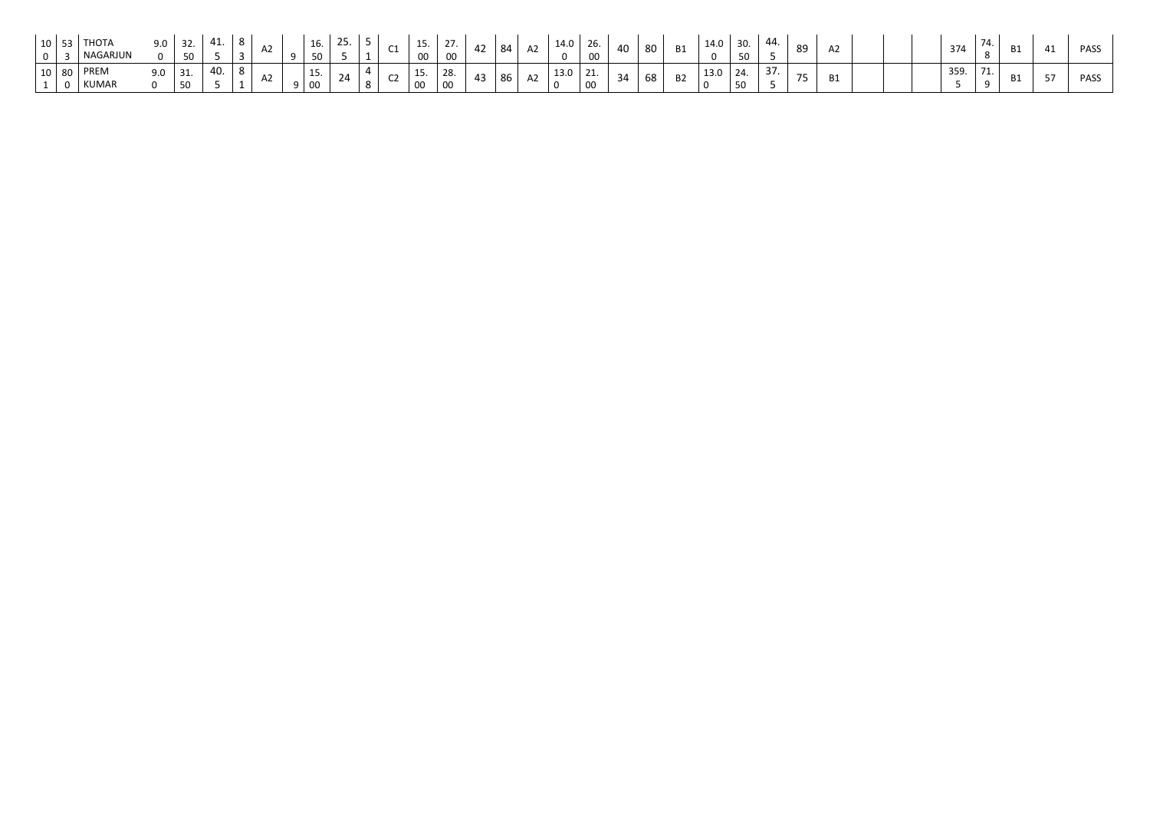| <b>JU</b> |     | T110T<br>NAGARJUN | 9.0 | 50  |     |  |          | ⊥∪<br>50   |     | $\sim$<br>◡∸ | .<br>00                   | $\sim$ $\sim$                   | $\sim$<br>44 | 84 | A2 | 14.0 | ZO.<br>00              | 40 | 80 | <b>B1</b> | 14.0 | 30.<br>50 | 44.          | 89             | AZ. | 374 |   | <b>B1</b> | <b>PASS</b> |
|-----------|-----|-------------------|-----|-----|-----|--|----------|------------|-----|--------------|---------------------------|---------------------------------|--------------|----|----|------|------------------------|----|----|-----------|------|-----------|--------------|----------------|-----|-----|---|-----------|-------------|
| ⊥∪ ∣      | -80 | PREM<br>KUMAR     | 9.0 | 31. | 40. |  | $\Omega$ | 1 F<br>. ب | _ ה | ີ            | 15<br>ᅩ<br>$\overline{0}$ | $\sim$<br>28.<br>0 <sup>c</sup> | - 40         | 86 | A2 | 13.0 | $\sim$ $\perp$ .<br>OC | 34 | 68 | <b>B2</b> | 13.0 | 24.<br>50 | $\sim$<br>37 | $\overline{ }$ | B1  | 359 | . | <b>B1</b> | <b>PASS</b> |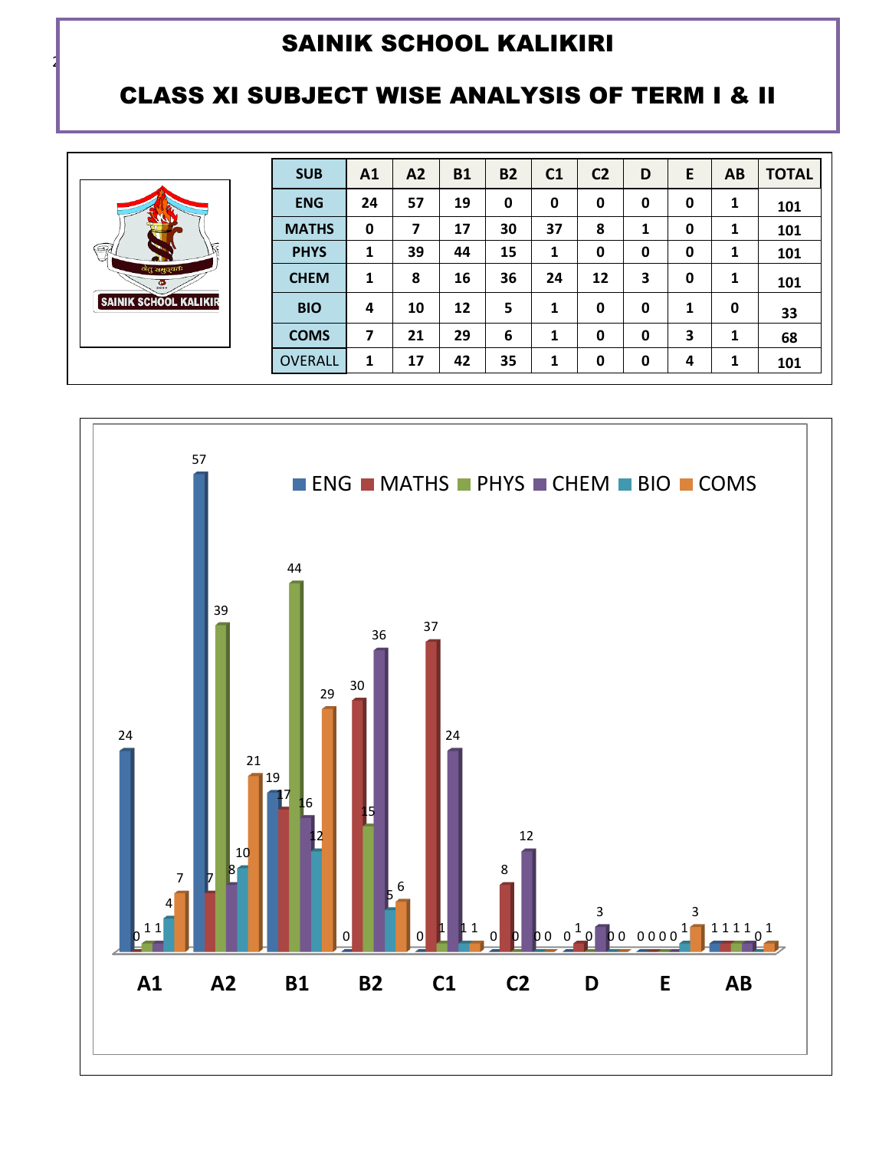### CLASS XI SUBJECT WISE ANALYSIS OF TERM I & II

|                                 | <b>SUB</b>     | A <sub>1</sub> | A2 | <b>B1</b> | <b>B2</b> | C <sub>1</sub> | C <sub>2</sub> | D | Е | <b>AB</b>    | <b>TOTAL</b> |
|---------------------------------|----------------|----------------|----|-----------|-----------|----------------|----------------|---|---|--------------|--------------|
|                                 | <b>ENG</b>     | 24             | 57 | 19        | 0         | $\mathbf 0$    | 0              | 0 | 0 | 1            | 101          |
|                                 | <b>MATHS</b>   | 0              | 7  | 17        | 30        | 37             | 8              |   | 0 | $\mathbf{1}$ | 101          |
| 区<br>$\circledcirc$             | <b>PHYS</b>    | 1              | 39 | 44        | 15        | 1              | 0              | 0 | 0 | 1            | 101          |
| नेतुं समुद्धतः<br>$\frac{1}{2}$ | <b>CHEM</b>    | 1              | 8  | 16        | 36        | 24             | 12             | 3 | 0 | 1            | 101          |
| <b>SAINIK SCHOOL KALIKIR</b>    | <b>BIO</b>     | 4              | 10 | 12        | 5         | 1              | 0              | 0 | 1 | 0            | 33           |
|                                 | <b>COMS</b>    | 7              | 21 | 29        | 6         | 1              | 0              | 0 | 3 | 1            | 68           |
|                                 | <b>OVERALL</b> | 1              | 17 | 42        | 35        | 1              | 0              | 0 | 4 | 1            | 101          |

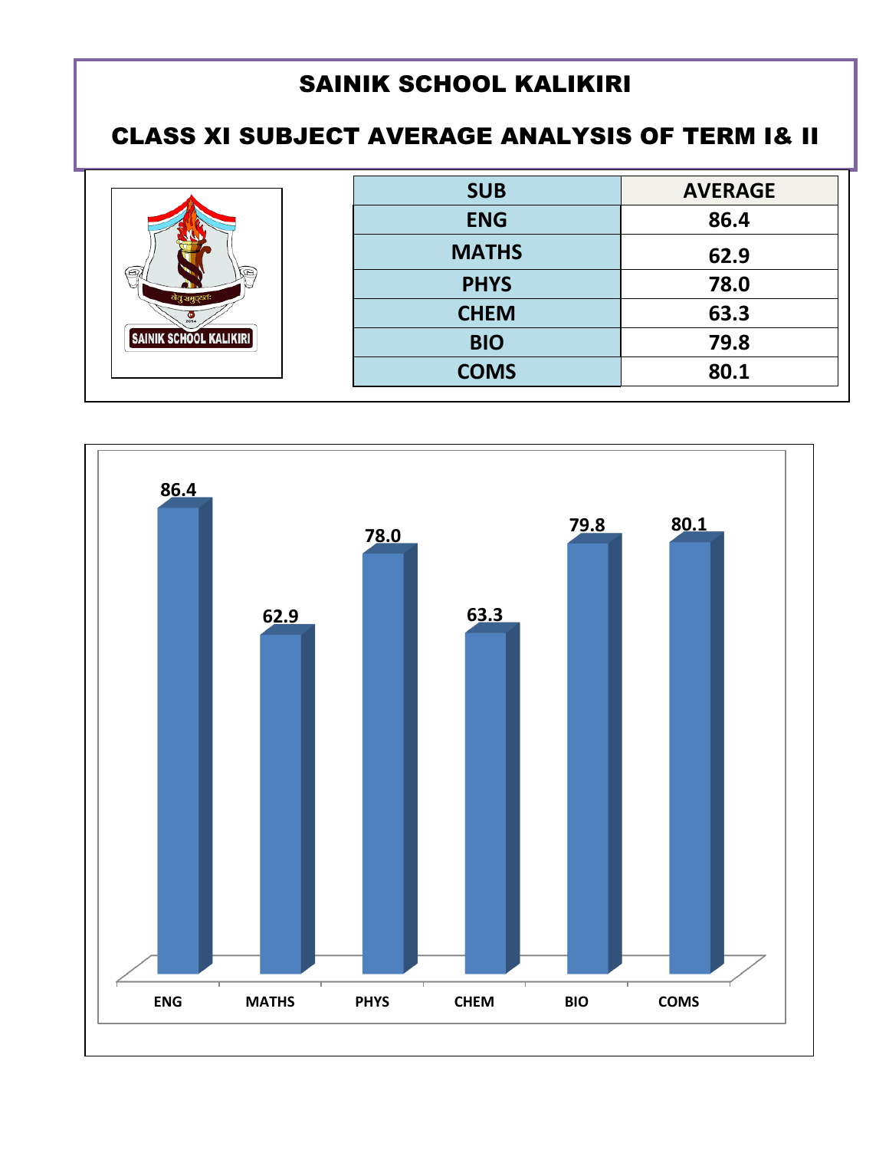## CLASS XI SUBJECT AVERAGE ANALYSIS OF TERM I& II

|                               | <b>SUB</b>   | <b>AVERAGE</b> |
|-------------------------------|--------------|----------------|
|                               | <b>ENG</b>   | 86.4           |
|                               | <b>MATHS</b> | 62.9           |
| ⊛,<br>Œ.                      | <b>PHYS</b>  | 78.0           |
|                               | <b>CHEM</b>  | 63.3           |
| <b>SAINIK SCHOOL KALIKIRI</b> | <b>BIO</b>   | 79.8           |
|                               | <b>COMS</b>  | 80.1           |

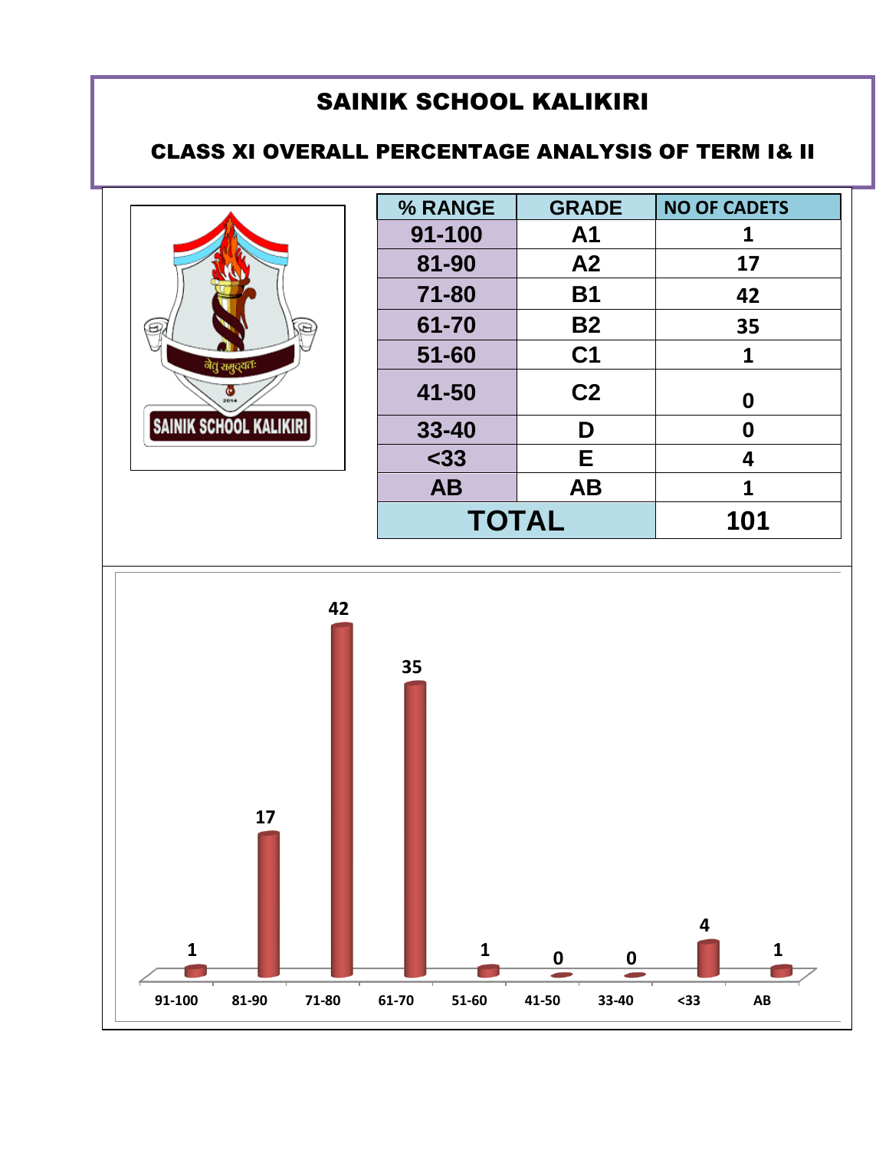#### CLASS XI OVERALL PERCENTAGE ANALYSIS OF TERM I& II



| % RANGE      | <b>GRADE</b>   | <b>NO OF CADETS</b> |
|--------------|----------------|---------------------|
| 91-100       | A <sub>1</sub> | 1                   |
| 81-90        | A <sub>2</sub> | 17                  |
| 71-80        | <b>B1</b>      | 42                  |
| 61-70        | <b>B2</b>      | 35                  |
| $51 - 60$    | C <sub>1</sub> | 1                   |
| 41-50        | C <sub>2</sub> | 0                   |
| $33 - 40$    | D              | 0                   |
| $33$         | E              | 4                   |
| <b>AB</b>    | <b>AB</b>      | 1                   |
| <b>TOTAL</b> |                | 101                 |